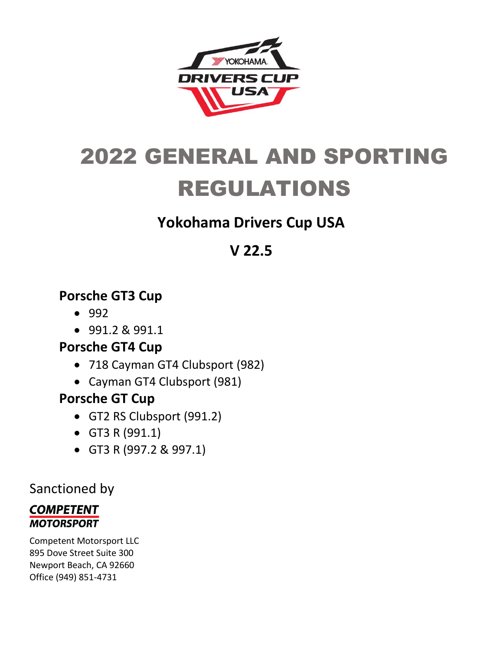

# 2022 GENERAL AND SPORTING REGULATIONS

# **Yokohama Drivers Cup USA**

# **V 22.5**

# **Porsche GT3 Cup**

- 992
- 991.2 & 991.1

# **Porsche GT4 Cup**

- 718 Cayman GT4 Clubsport (982)
- Cayman GT4 Clubsport (981)

# **Porsche GT Cup**

- GT2 RS Clubsport (991.2)
- GT3 R (991.1)
- GT3 R (997.2 & 997.1)

# Sanctioned by

### **COMPETENT MOTORSPORT**

Competent Motorsport LLC 895 Dove Street Suite 300 Newport Beach, CA 92660 Office (949) 851-4731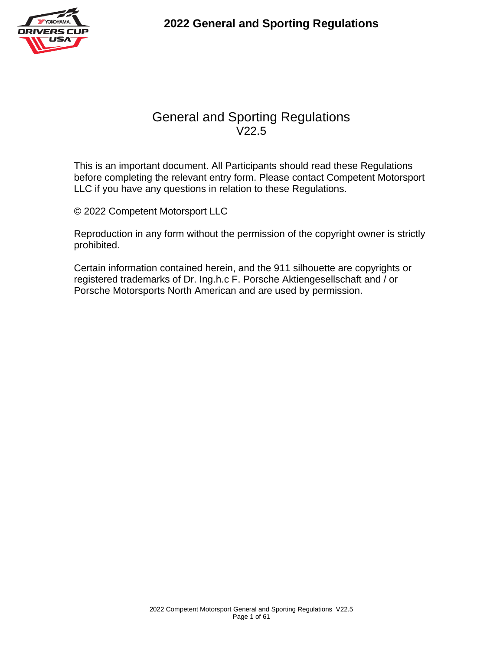

This is an important document. All Participants should read these Regulations before completing the relevant entry form. Please contact Competent Motorsport LLC if you have any questions in relation to these Regulations.

© 2022 Competent Motorsport LLC

Reproduction in any form without the permission of the copyright owner is strictly prohibited.

Certain information contained herein, and the 911 silhouette are copyrights or registered trademarks of Dr. Ing.h.c F. Porsche Aktiengesellschaft and / or Porsche Motorsports North American and are used by permission.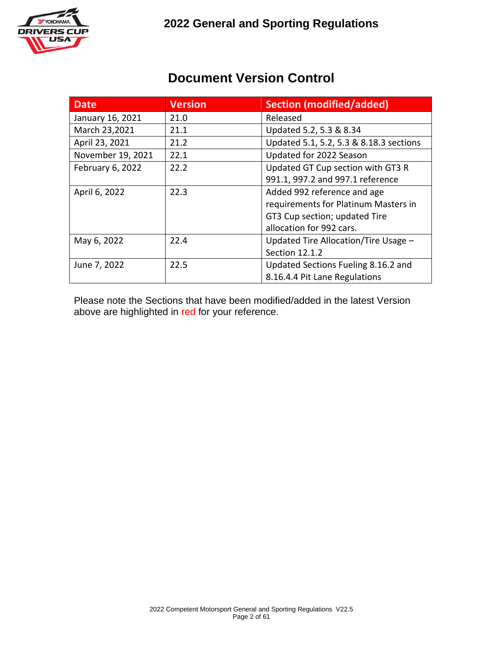

### **Document Version Control**

| <b>Date</b>       | <b>Version</b> | <b>Section (modified/added)</b>         |  |  |
|-------------------|----------------|-----------------------------------------|--|--|
| January 16, 2021  | 21.0           | Released                                |  |  |
| March 23,2021     | 21.1           | Updated 5.2, 5.3 & 8.34                 |  |  |
| April 23, 2021    | 21.2           | Updated 5.1, 5.2, 5.3 & 8.18.3 sections |  |  |
| November 19, 2021 | 22.1           | Updated for 2022 Season                 |  |  |
| February 6, 2022  | 22.2           | Updated GT Cup section with GT3 R       |  |  |
|                   |                | 991.1, 997.2 and 997.1 reference        |  |  |
| April 6, 2022     | 22.3           | Added 992 reference and age             |  |  |
|                   |                | requirements for Platinum Masters in    |  |  |
|                   |                | GT3 Cup section; updated Tire           |  |  |
|                   |                | allocation for 992 cars.                |  |  |
| May 6, 2022       | 22.4           | Updated Tire Allocation/Tire Usage -    |  |  |
|                   |                | Section 12.1.2                          |  |  |
| June 7, 2022      | 22.5           | Updated Sections Fueling 8.16.2 and     |  |  |
|                   |                | 8.16.4.4 Pit Lane Regulations           |  |  |

Please note the Sections that have been modified/added in the latest Version above are highlighted in red for your reference.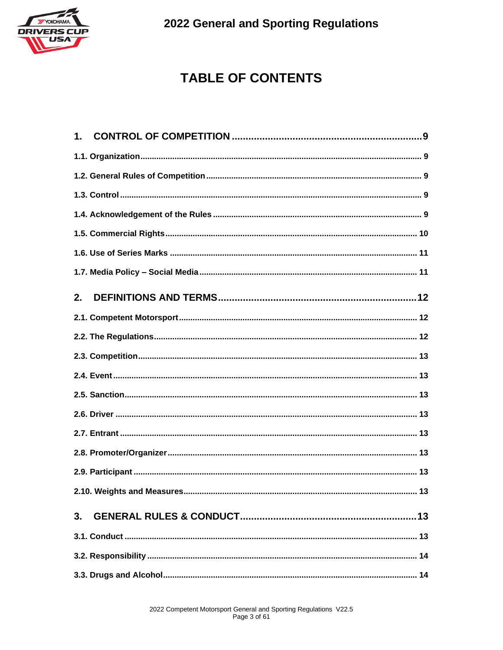

# **TABLE OF CONTENTS**

| 1. |  |
|----|--|
|    |  |
|    |  |
|    |  |
|    |  |
|    |  |
|    |  |
|    |  |
| 2. |  |
|    |  |
|    |  |
|    |  |
|    |  |
|    |  |
|    |  |
|    |  |
|    |  |
|    |  |
|    |  |
| 3. |  |
|    |  |
|    |  |
|    |  |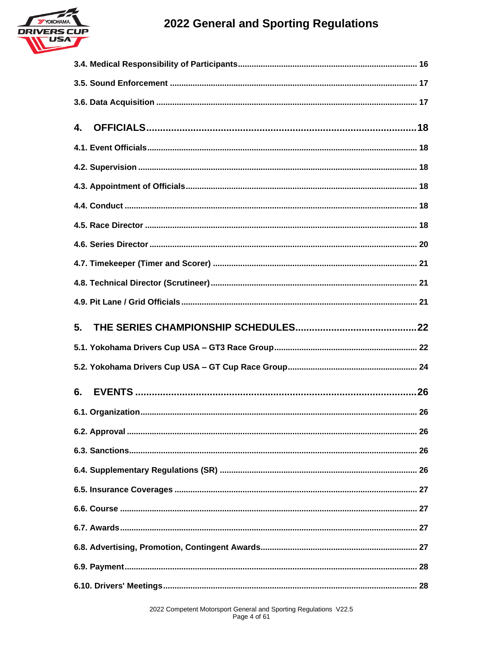

| 4. |
|----|
|    |
|    |
|    |
|    |
|    |
|    |
|    |
|    |
|    |
|    |
| 5. |
|    |
|    |
| 6. |
|    |
|    |
|    |
|    |
|    |
|    |
|    |
|    |
|    |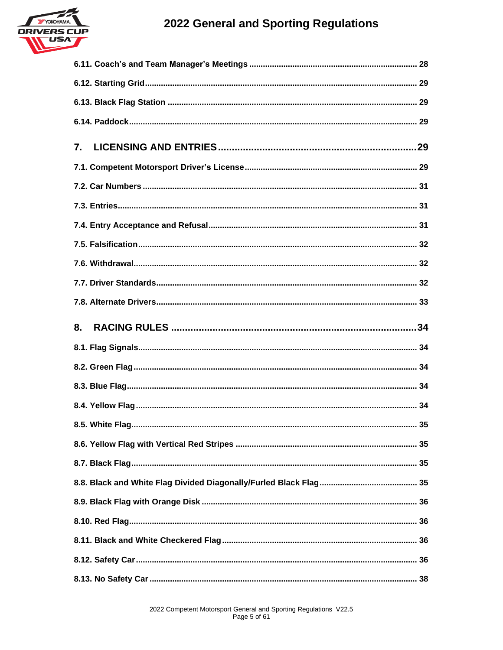



| $\mathbf{7}$          |
|-----------------------|
|                       |
|                       |
|                       |
|                       |
|                       |
|                       |
|                       |
|                       |
| 8.                    |
|                       |
|                       |
|                       |
|                       |
| 8.5. White Flag<br>35 |
|                       |
|                       |
|                       |
|                       |
|                       |
|                       |
|                       |
|                       |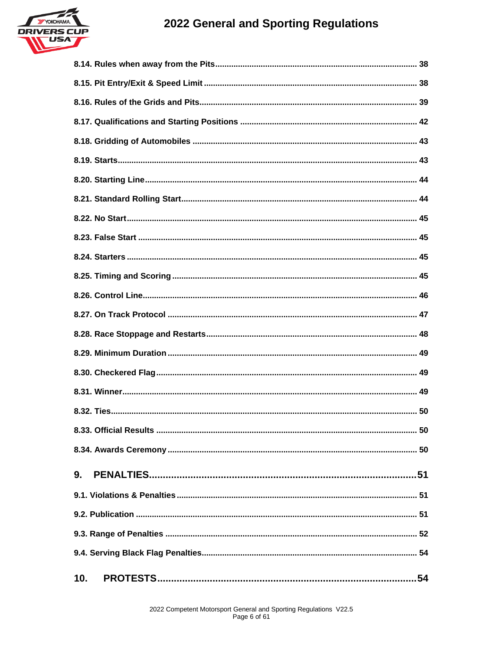

| 9.  |
|-----|
|     |
|     |
|     |
|     |
| 10. |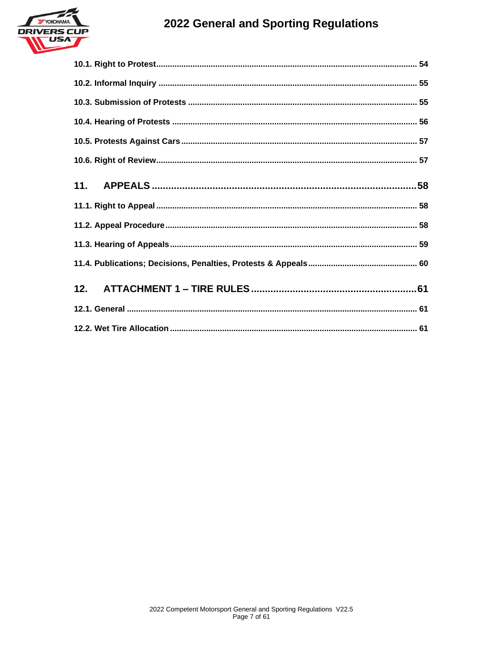

| 12. |  |
|-----|--|
|     |  |
|     |  |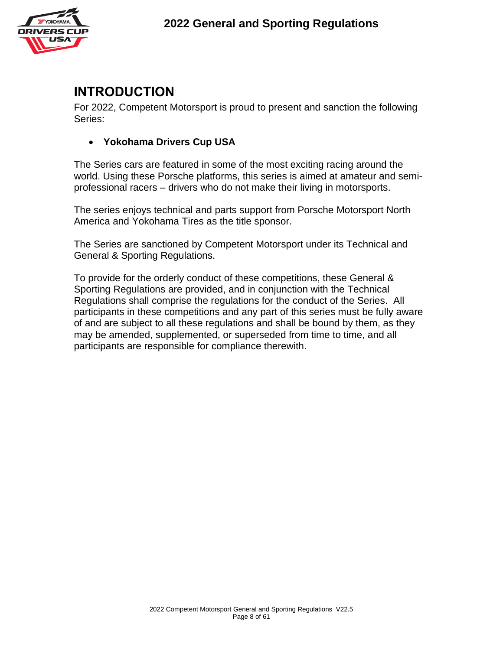

# **INTRODUCTION**

For 2022, Competent Motorsport is proud to present and sanction the following Series:

• **Yokohama Drivers Cup USA**

The Series cars are featured in some of the most exciting racing around the world. Using these Porsche platforms, this series is aimed at amateur and semiprofessional racers – drivers who do not make their living in motorsports.

The series enjoys technical and parts support from Porsche Motorsport North America and Yokohama Tires as the title sponsor.

The Series are sanctioned by Competent Motorsport under its Technical and General & Sporting Regulations.

To provide for the orderly conduct of these competitions, these General & Sporting Regulations are provided, and in conjunction with the Technical Regulations shall comprise the regulations for the conduct of the Series. All participants in these competitions and any part of this series must be fully aware of and are subject to all these regulations and shall be bound by them, as they may be amended, supplemented, or superseded from time to time, and all participants are responsible for compliance therewith.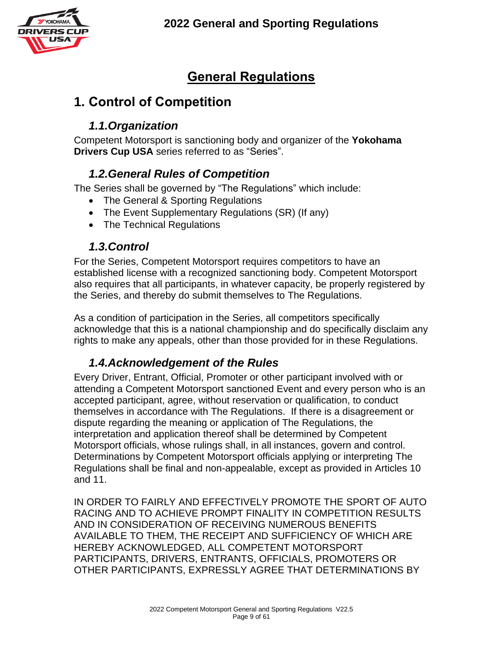

# **General Regulations**

# **1. Control of Competition**

### *1.1.Organization*

Competent Motorsport is sanctioning body and organizer of the **Yokohama Drivers Cup USA** series referred to as "Series".

#### *1.2.General Rules of Competition*

The Series shall be governed by "The Regulations" which include:

- The General & Sporting Regulations
- The Event Supplementary Regulations (SR) (If any)
- The Technical Regulations

#### *1.3.Control*

For the Series, Competent Motorsport requires competitors to have an established license with a recognized sanctioning body. Competent Motorsport also requires that all participants, in whatever capacity, be properly registered by the Series, and thereby do submit themselves to The Regulations.

As a condition of participation in the Series, all competitors specifically acknowledge that this is a national championship and do specifically disclaim any rights to make any appeals, other than those provided for in these Regulations.

### *1.4.Acknowledgement of the Rules*

Every Driver, Entrant, Official, Promoter or other participant involved with or attending a Competent Motorsport sanctioned Event and every person who is an accepted participant, agree, without reservation or qualification, to conduct themselves in accordance with The Regulations. If there is a disagreement or dispute regarding the meaning or application of The Regulations, the interpretation and application thereof shall be determined by Competent Motorsport officials, whose rulings shall, in all instances, govern and control. Determinations by Competent Motorsport officials applying or interpreting The Regulations shall be final and non-appealable, except as provided in Articles 10 and 11.

IN ORDER TO FAIRLY AND EFFECTIVELY PROMOTE THE SPORT OF AUTO RACING AND TO ACHIEVE PROMPT FINALITY IN COMPETITION RESULTS AND IN CONSIDERATION OF RECEIVING NUMEROUS BENEFITS AVAILABLE TO THEM, THE RECEIPT AND SUFFICIENCY OF WHICH ARE HEREBY ACKNOWLEDGED, ALL COMPETENT MOTORSPORT PARTICIPANTS, DRIVERS, ENTRANTS, OFFICIALS, PROMOTERS OR OTHER PARTICIPANTS, EXPRESSLY AGREE THAT DETERMINATIONS BY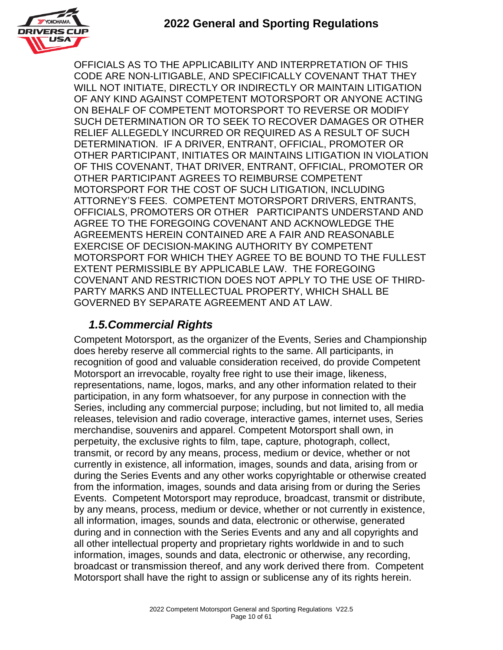

OFFICIALS AS TO THE APPLICABILITY AND INTERPRETATION OF THIS CODE ARE NON-LITIGABLE, AND SPECIFICALLY COVENANT THAT THEY WILL NOT INITIATE, DIRECTLY OR INDIRECTLY OR MAINTAIN LITIGATION OF ANY KIND AGAINST COMPETENT MOTORSPORT OR ANYONE ACTING ON BEHALF OF COMPETENT MOTORSPORT TO REVERSE OR MODIFY SUCH DETERMINATION OR TO SEEK TO RECOVER DAMAGES OR OTHER RELIEF ALLEGEDLY INCURRED OR REQUIRED AS A RESULT OF SUCH DETERMINATION. IF A DRIVER, ENTRANT, OFFICIAL, PROMOTER OR OTHER PARTICIPANT, INITIATES OR MAINTAINS LITIGATION IN VIOLATION OF THIS COVENANT, THAT DRIVER, ENTRANT, OFFICIAL, PROMOTER OR OTHER PARTICIPANT AGREES TO REIMBURSE COMPETENT MOTORSPORT FOR THE COST OF SUCH LITIGATION, INCLUDING ATTORNEY'S FEES. COMPETENT MOTORSPORT DRIVERS, ENTRANTS, OFFICIALS, PROMOTERS OR OTHER PARTICIPANTS UNDERSTAND AND AGREE TO THE FOREGOING COVENANT AND ACKNOWLEDGE THE AGREEMENTS HEREIN CONTAINED ARE A FAIR AND REASONABLE EXERCISE OF DECISION-MAKING AUTHORITY BY COMPETENT MOTORSPORT FOR WHICH THEY AGREE TO BE BOUND TO THE FULLEST EXTENT PERMISSIBLE BY APPLICABLE LAW. THE FOREGOING COVENANT AND RESTRICTION DOES NOT APPLY TO THE USE OF THIRD-PARTY MARKS AND INTELLECTUAL PROPERTY, WHICH SHALL BE GOVERNED BY SEPARATE AGREEMENT AND AT LAW.

### *1.5.Commercial Rights*

Competent Motorsport, as the organizer of the Events, Series and Championship does hereby reserve all commercial rights to the same. All participants, in recognition of good and valuable consideration received, do provide Competent Motorsport an irrevocable, royalty free right to use their image, likeness, representations, name, logos, marks, and any other information related to their participation, in any form whatsoever, for any purpose in connection with the Series, including any commercial purpose; including, but not limited to, all media releases, television and radio coverage, interactive games, internet uses, Series merchandise, souvenirs and apparel. Competent Motorsport shall own, in perpetuity, the exclusive rights to film, tape, capture, photograph, collect, transmit, or record by any means, process, medium or device, whether or not currently in existence, all information, images, sounds and data, arising from or during the Series Events and any other works copyrightable or otherwise created from the information, images, sounds and data arising from or during the Series Events. Competent Motorsport may reproduce, broadcast, transmit or distribute, by any means, process, medium or device, whether or not currently in existence, all information, images, sounds and data, electronic or otherwise, generated during and in connection with the Series Events and any and all copyrights and all other intellectual property and proprietary rights worldwide in and to such information, images, sounds and data, electronic or otherwise, any recording, broadcast or transmission thereof, and any work derived there from. Competent Motorsport shall have the right to assign or sublicense any of its rights herein.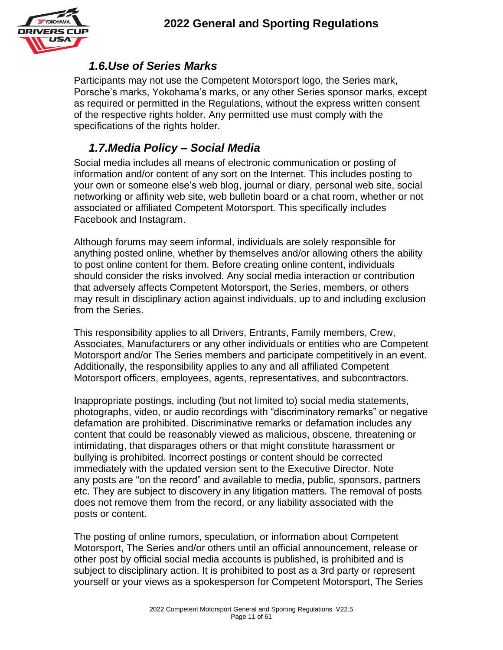

#### *1.6.Use of Series Marks*

Participants may not use the Competent Motorsport logo, the Series mark, Porsche's marks, Yokohama's marks, or any other Series sponsor marks, except as required or permitted in the Regulations, without the express written consent of the respective rights holder. Any permitted use must comply with the specifications of the rights holder.

#### *1.7.Media Policy – Social Media*

Social media includes all means of electronic communication or posting of information and/or content of any sort on the Internet. This includes posting to your own or someone else's web blog, journal or diary, personal web site, social networking or affinity web site, web bulletin board or a chat room, whether or not associated or affiliated Competent Motorsport. This specifically includes Facebook and Instagram.

Although forums may seem informal, individuals are solely responsible for anything posted online, whether by themselves and/or allowing others the ability to post online content for them. Before creating online content, individuals should consider the risks involved. Any social media interaction or contribution that adversely affects Competent Motorsport, the Series, members, or others may result in disciplinary action against individuals, up to and including exclusion from the Series.

This responsibility applies to all Drivers, Entrants, Family members, Crew, Associates, Manufacturers or any other individuals or entities who are Competent Motorsport and/or The Series members and participate competitively in an event. Additionally, the responsibility applies to any and all affiliated Competent Motorsport officers, employees, agents, representatives, and subcontractors.

Inappropriate postings, including (but not limited to) social media statements, photographs, video, or audio recordings with "discriminatory remarks" or negative defamation are prohibited. Discriminative remarks or defamation includes any content that could be reasonably viewed as malicious, obscene, threatening or intimidating, that disparages others or that might constitute harassment or bullying is prohibited. Incorrect postings or content should be corrected immediately with the updated version sent to the Executive Director. Note any posts are "on the record" and available to media, public, sponsors, partners etc. They are subject to discovery in any litigation matters. The removal of posts does not remove them from the record, or any liability associated with the posts or content.

The posting of online rumors, speculation, or information about Competent Motorsport, The Series and/or others until an official announcement, release or other post by official social media accounts is published, is prohibited and is subject to disciplinary action. It is prohibited to post as a 3rd party or represent yourself or your views as a spokesperson for Competent Motorsport, The Series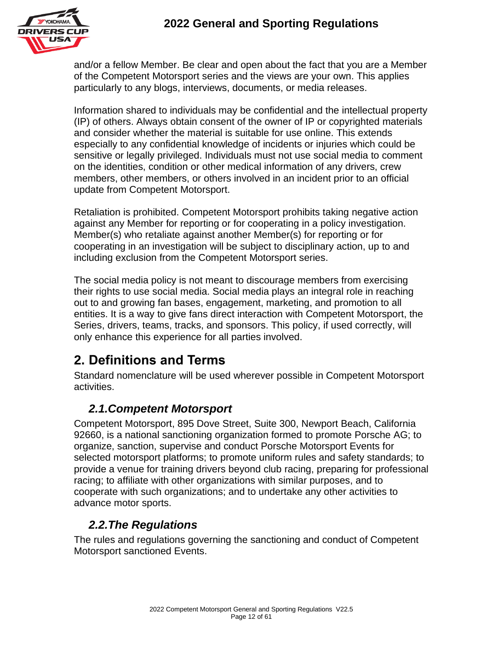

and/or a fellow Member. Be clear and open about the fact that you are a Member of the Competent Motorsport series and the views are your own. This applies particularly to any blogs, interviews, documents, or media releases.

Information shared to individuals may be confidential and the intellectual property (IP) of others. Always obtain consent of the owner of IP or copyrighted materials and consider whether the material is suitable for use online. This extends especially to any confidential knowledge of incidents or injuries which could be sensitive or legally privileged. Individuals must not use social media to comment on the identities, condition or other medical information of any drivers, crew members, other members, or others involved in an incident prior to an official update from Competent Motorsport.

Retaliation is prohibited. Competent Motorsport prohibits taking negative action against any Member for reporting or for cooperating in a policy investigation. Member(s) who retaliate against another Member(s) for reporting or for cooperating in an investigation will be subject to disciplinary action, up to and including exclusion from the Competent Motorsport series.

The social media policy is not meant to discourage members from exercising their rights to use social media. Social media plays an integral role in reaching out to and growing fan bases, engagement, marketing, and promotion to all entities. It is a way to give fans direct interaction with Competent Motorsport, the Series, drivers, teams, tracks, and sponsors. This policy, if used correctly, will only enhance this experience for all parties involved.

# **2. Definitions and Terms**

Standard nomenclature will be used wherever possible in Competent Motorsport activities.

### *2.1.Competent Motorsport*

Competent Motorsport, 895 Dove Street, Suite 300, Newport Beach, California 92660, is a national sanctioning organization formed to promote Porsche AG; to organize, sanction, supervise and conduct Porsche Motorsport Events for selected motorsport platforms; to promote uniform rules and safety standards; to provide a venue for training drivers beyond club racing, preparing for professional racing; to affiliate with other organizations with similar purposes, and to cooperate with such organizations; and to undertake any other activities to advance motor sports.

### *2.2.The Regulations*

The rules and regulations governing the sanctioning and conduct of Competent Motorsport sanctioned Events.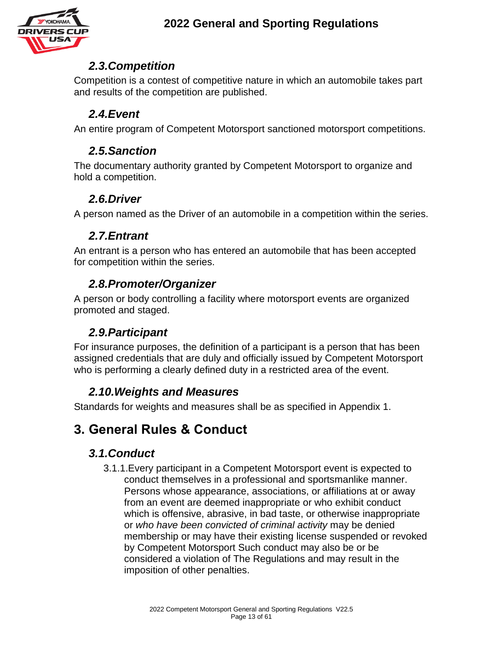

#### *2.3.Competition*

Competition is a contest of competitive nature in which an automobile takes part and results of the competition are published.

### *2.4.Event*

An entire program of Competent Motorsport sanctioned motorsport competitions.

### *2.5.Sanction*

The documentary authority granted by Competent Motorsport to organize and hold a competition.

### *2.6.Driver*

A person named as the Driver of an automobile in a competition within the series.

### *2.7.Entrant*

An entrant is a person who has entered an automobile that has been accepted for competition within the series.

### *2.8.Promoter/Organizer*

A person or body controlling a facility where motorsport events are organized promoted and staged.

### *2.9.Participant*

For insurance purposes, the definition of a participant is a person that has been assigned credentials that are duly and officially issued by Competent Motorsport who is performing a clearly defined duty in a restricted area of the event.

### *2.10.Weights and Measures*

Standards for weights and measures shall be as specified in Appendix 1.

# **3. General Rules & Conduct**

### *3.1.Conduct*

3.1.1.Every participant in a Competent Motorsport event is expected to conduct themselves in a professional and sportsmanlike manner. Persons whose appearance, associations, or affiliations at or away from an event are deemed inappropriate or who exhibit conduct which is offensive, abrasive, in bad taste, or otherwise inappropriate or *who have been convicted of criminal activity* may be denied membership or may have their existing license suspended or revoked by Competent Motorsport Such conduct may also be or be considered a violation of The Regulations and may result in the imposition of other penalties.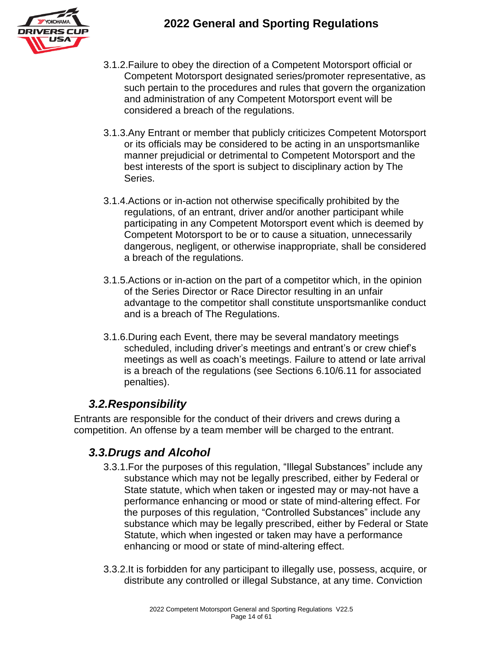

- 3.1.2.Failure to obey the direction of a Competent Motorsport official or Competent Motorsport designated series/promoter representative, as such pertain to the procedures and rules that govern the organization and administration of any Competent Motorsport event will be considered a breach of the regulations.
- 3.1.3.Any Entrant or member that publicly criticizes Competent Motorsport or its officials may be considered to be acting in an unsportsmanlike manner prejudicial or detrimental to Competent Motorsport and the best interests of the sport is subject to disciplinary action by The Series.
- 3.1.4.Actions or in-action not otherwise specifically prohibited by the regulations, of an entrant, driver and/or another participant while participating in any Competent Motorsport event which is deemed by Competent Motorsport to be or to cause a situation, unnecessarily dangerous, negligent, or otherwise inappropriate, shall be considered a breach of the regulations.
- 3.1.5.Actions or in-action on the part of a competitor which, in the opinion of the Series Director or Race Director resulting in an unfair advantage to the competitor shall constitute unsportsmanlike conduct and is a breach of The Regulations.
- 3.1.6.During each Event, there may be several mandatory meetings scheduled, including driver's meetings and entrant's or crew chief's meetings as well as coach's meetings. Failure to attend or late arrival is a breach of the regulations (see Sections 6.10/6.11 for associated penalties).

#### *3.2.Responsibility*

Entrants are responsible for the conduct of their drivers and crews during a competition. An offense by a team member will be charged to the entrant.

#### *3.3.Drugs and Alcohol*

- 3.3.1.For the purposes of this regulation, "Illegal Substances" include any substance which may not be legally prescribed, either by Federal or State statute, which when taken or ingested may or may-not have a performance enhancing or mood or state of mind-altering effect. For the purposes of this regulation, "Controlled Substances" include any substance which may be legally prescribed, either by Federal or State Statute, which when ingested or taken may have a performance enhancing or mood or state of mind-altering effect.
- 3.3.2.It is forbidden for any participant to illegally use, possess, acquire, or distribute any controlled or illegal Substance, at any time. Conviction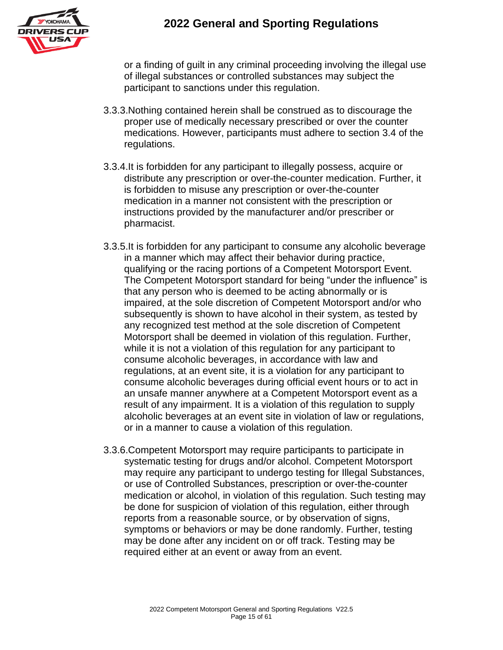

or a finding of guilt in any criminal proceeding involving the illegal use of illegal substances or controlled substances may subject the participant to sanctions under this regulation.

- 3.3.3.Nothing contained herein shall be construed as to discourage the proper use of medically necessary prescribed or over the counter medications. However, participants must adhere to section 3.4 of the regulations.
- 3.3.4.It is forbidden for any participant to illegally possess, acquire or distribute any prescription or over-the-counter medication. Further, it is forbidden to misuse any prescription or over-the-counter medication in a manner not consistent with the prescription or instructions provided by the manufacturer and/or prescriber or pharmacist.
- 3.3.5.It is forbidden for any participant to consume any alcoholic beverage in a manner which may affect their behavior during practice, qualifying or the racing portions of a Competent Motorsport Event. The Competent Motorsport standard for being "under the influence" is that any person who is deemed to be acting abnormally or is impaired, at the sole discretion of Competent Motorsport and/or who subsequently is shown to have alcohol in their system, as tested by any recognized test method at the sole discretion of Competent Motorsport shall be deemed in violation of this regulation. Further, while it is not a violation of this regulation for any participant to consume alcoholic beverages, in accordance with law and regulations, at an event site, it is a violation for any participant to consume alcoholic beverages during official event hours or to act in an unsafe manner anywhere at a Competent Motorsport event as a result of any impairment. It is a violation of this regulation to supply alcoholic beverages at an event site in violation of law or regulations, or in a manner to cause a violation of this regulation.
- 3.3.6.Competent Motorsport may require participants to participate in systematic testing for drugs and/or alcohol. Competent Motorsport may require any participant to undergo testing for Illegal Substances, or use of Controlled Substances, prescription or over-the-counter medication or alcohol, in violation of this regulation. Such testing may be done for suspicion of violation of this regulation, either through reports from a reasonable source, or by observation of signs, symptoms or behaviors or may be done randomly. Further, testing may be done after any incident on or off track. Testing may be required either at an event or away from an event.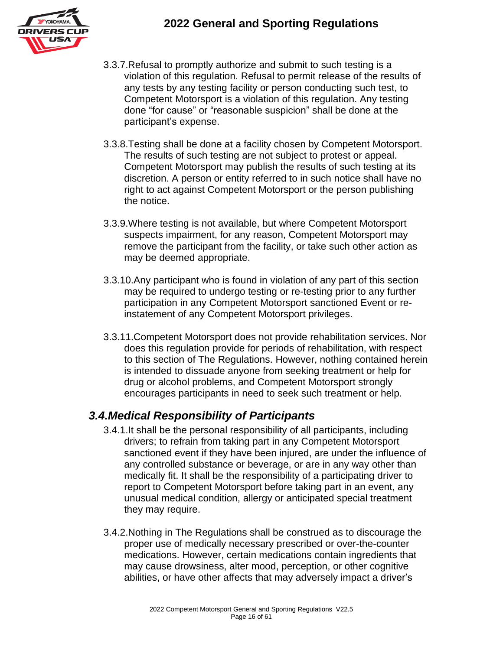

- 3.3.7.Refusal to promptly authorize and submit to such testing is a violation of this regulation. Refusal to permit release of the results of any tests by any testing facility or person conducting such test, to Competent Motorsport is a violation of this regulation. Any testing done "for cause" or "reasonable suspicion" shall be done at the participant's expense.
- 3.3.8.Testing shall be done at a facility chosen by Competent Motorsport. The results of such testing are not subject to protest or appeal. Competent Motorsport may publish the results of such testing at its discretion. A person or entity referred to in such notice shall have no right to act against Competent Motorsport or the person publishing the notice.
- 3.3.9.Where testing is not available, but where Competent Motorsport suspects impairment, for any reason, Competent Motorsport may remove the participant from the facility, or take such other action as may be deemed appropriate.
- 3.3.10.Any participant who is found in violation of any part of this section may be required to undergo testing or re-testing prior to any further participation in any Competent Motorsport sanctioned Event or reinstatement of any Competent Motorsport privileges.
- 3.3.11.Competent Motorsport does not provide rehabilitation services. Nor does this regulation provide for periods of rehabilitation, with respect to this section of The Regulations. However, nothing contained herein is intended to dissuade anyone from seeking treatment or help for drug or alcohol problems, and Competent Motorsport strongly encourages participants in need to seek such treatment or help.

#### *3.4.Medical Responsibility of Participants*

- 3.4.1.It shall be the personal responsibility of all participants, including drivers; to refrain from taking part in any Competent Motorsport sanctioned event if they have been injured, are under the influence of any controlled substance or beverage, or are in any way other than medically fit. It shall be the responsibility of a participating driver to report to Competent Motorsport before taking part in an event, any unusual medical condition, allergy or anticipated special treatment they may require.
- 3.4.2.Nothing in The Regulations shall be construed as to discourage the proper use of medically necessary prescribed or over-the-counter medications. However, certain medications contain ingredients that may cause drowsiness, alter mood, perception, or other cognitive abilities, or have other affects that may adversely impact a driver's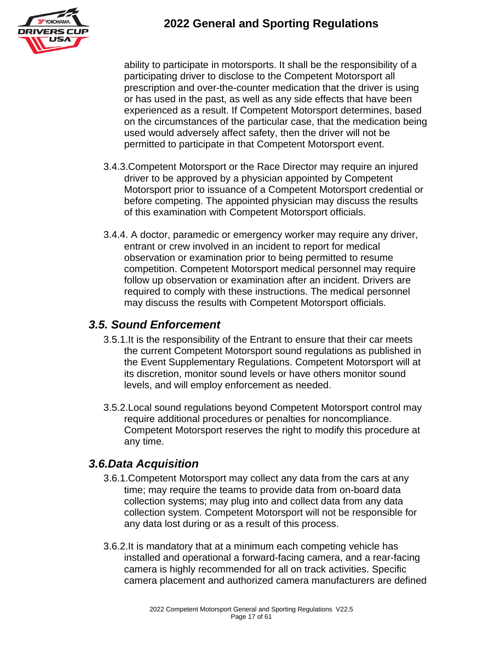

ability to participate in motorsports. It shall be the responsibility of a participating driver to disclose to the Competent Motorsport all prescription and over-the-counter medication that the driver is using or has used in the past, as well as any side effects that have been experienced as a result. If Competent Motorsport determines, based on the circumstances of the particular case, that the medication being used would adversely affect safety, then the driver will not be permitted to participate in that Competent Motorsport event.

- 3.4.3.Competent Motorsport or the Race Director may require an injured driver to be approved by a physician appointed by Competent Motorsport prior to issuance of a Competent Motorsport credential or before competing. The appointed physician may discuss the results of this examination with Competent Motorsport officials.
- 3.4.4. A doctor, paramedic or emergency worker may require any driver, entrant or crew involved in an incident to report for medical observation or examination prior to being permitted to resume competition. Competent Motorsport medical personnel may require follow up observation or examination after an incident. Drivers are required to comply with these instructions. The medical personnel may discuss the results with Competent Motorsport officials.

#### *3.5. Sound Enforcement*

- 3.5.1.It is the responsibility of the Entrant to ensure that their car meets the current Competent Motorsport sound regulations as published in the Event Supplementary Regulations. Competent Motorsport will at its discretion, monitor sound levels or have others monitor sound levels, and will employ enforcement as needed.
- 3.5.2.Local sound regulations beyond Competent Motorsport control may require additional procedures or penalties for noncompliance. Competent Motorsport reserves the right to modify this procedure at any time.

### *3.6.Data Acquisition*

- 3.6.1.Competent Motorsport may collect any data from the cars at any time; may require the teams to provide data from on-board data collection systems; may plug into and collect data from any data collection system. Competent Motorsport will not be responsible for any data lost during or as a result of this process.
- 3.6.2.It is mandatory that at a minimum each competing vehicle has installed and operational a forward-facing camera, and a rear-facing camera is highly recommended for all on track activities. Specific camera placement and authorized camera manufacturers are defined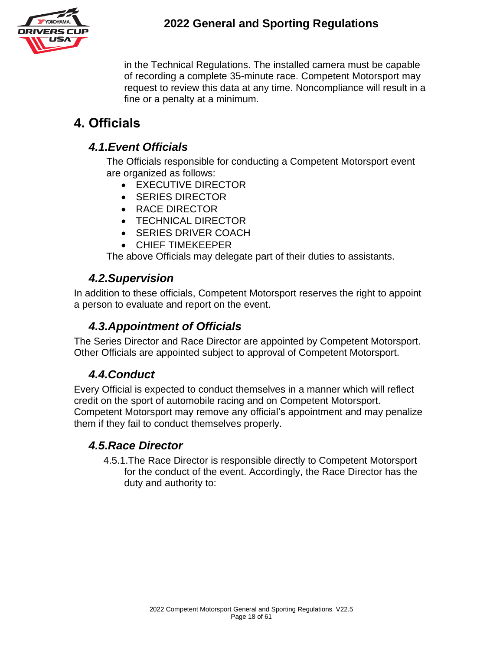

in the Technical Regulations. The installed camera must be capable of recording a complete 35-minute race. Competent Motorsport may request to review this data at any time. Noncompliance will result in a fine or a penalty at a minimum.

# **4. Officials**

### *4.1.Event Officials*

The Officials responsible for conducting a Competent Motorsport event are organized as follows:

- EXECUTIVE DIRECTOR
- SERIES DIRECTOR
- RACE DIRECTOR
- TECHNICAL DIRECTOR
- SERIES DRIVER COACH
- CHIEF TIMEKEEPER

The above Officials may delegate part of their duties to assistants.

### *4.2.Supervision*

In addition to these officials, Competent Motorsport reserves the right to appoint a person to evaluate and report on the event.

### *4.3.Appointment of Officials*

The Series Director and Race Director are appointed by Competent Motorsport. Other Officials are appointed subject to approval of Competent Motorsport.

### *4.4.Conduct*

Every Official is expected to conduct themselves in a manner which will reflect credit on the sport of automobile racing and on Competent Motorsport. Competent Motorsport may remove any official's appointment and may penalize them if they fail to conduct themselves properly.

### *4.5.Race Director*

4.5.1.The Race Director is responsible directly to Competent Motorsport for the conduct of the event. Accordingly, the Race Director has the duty and authority to: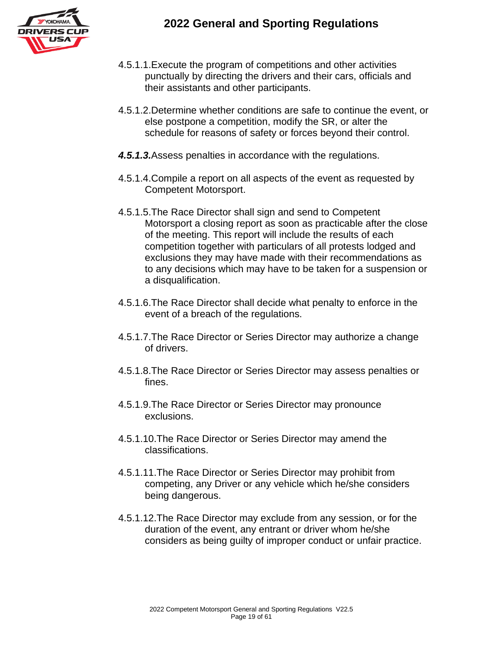



- 4.5.1.1.Execute the program of competitions and other activities punctually by directing the drivers and their cars, officials and their assistants and other participants.
- 4.5.1.2.Determine whether conditions are safe to continue the event, or else postpone a competition, modify the SR, or alter the schedule for reasons of safety or forces beyond their control.
- *4.5.1.3.*Assess penalties in accordance with the regulations.
- 4.5.1.4.Compile a report on all aspects of the event as requested by Competent Motorsport.
- 4.5.1.5.The Race Director shall sign and send to Competent Motorsport a closing report as soon as practicable after the close of the meeting. This report will include the results of each competition together with particulars of all protests lodged and exclusions they may have made with their recommendations as to any decisions which may have to be taken for a suspension or a disqualification.
- 4.5.1.6.The Race Director shall decide what penalty to enforce in the event of a breach of the regulations.
- 4.5.1.7.The Race Director or Series Director may authorize a change of drivers.
- 4.5.1.8.The Race Director or Series Director may assess penalties or fines.
- 4.5.1.9.The Race Director or Series Director may pronounce exclusions.
- 4.5.1.10.The Race Director or Series Director may amend the classifications.
- 4.5.1.11.The Race Director or Series Director may prohibit from competing, any Driver or any vehicle which he/she considers being dangerous.
- 4.5.1.12.The Race Director may exclude from any session, or for the duration of the event, any entrant or driver whom he/she considers as being guilty of improper conduct or unfair practice.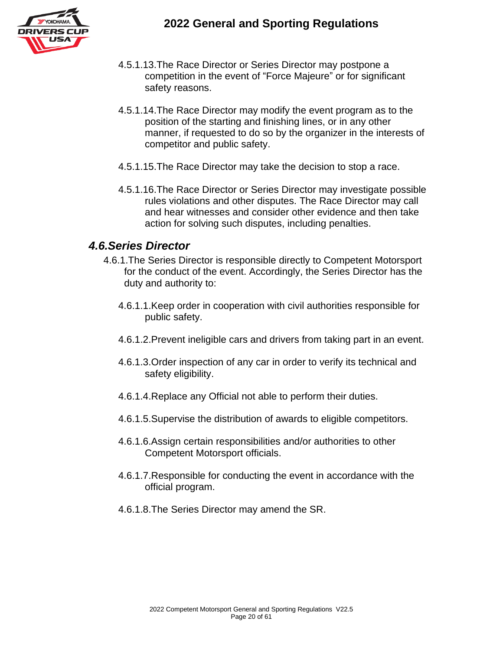

- 4.5.1.13.The Race Director or Series Director may postpone a competition in the event of "Force Majeure" or for significant safety reasons.
- 4.5.1.14.The Race Director may modify the event program as to the position of the starting and finishing lines, or in any other manner, if requested to do so by the organizer in the interests of competitor and public safety.
- 4.5.1.15.The Race Director may take the decision to stop a race.
- 4.5.1.16.The Race Director or Series Director may investigate possible rules violations and other disputes. The Race Director may call and hear witnesses and consider other evidence and then take action for solving such disputes, including penalties.

#### *4.6.Series Director*

- 4.6.1.The Series Director is responsible directly to Competent Motorsport for the conduct of the event. Accordingly, the Series Director has the duty and authority to:
	- 4.6.1.1.Keep order in cooperation with civil authorities responsible for public safety.
	- 4.6.1.2.Prevent ineligible cars and drivers from taking part in an event.
	- 4.6.1.3.Order inspection of any car in order to verify its technical and safety eligibility.
	- 4.6.1.4.Replace any Official not able to perform their duties.
	- 4.6.1.5.Supervise the distribution of awards to eligible competitors.
	- 4.6.1.6.Assign certain responsibilities and/or authorities to other Competent Motorsport officials.
	- 4.6.1.7.Responsible for conducting the event in accordance with the official program.
	- 4.6.1.8.The Series Director may amend the SR.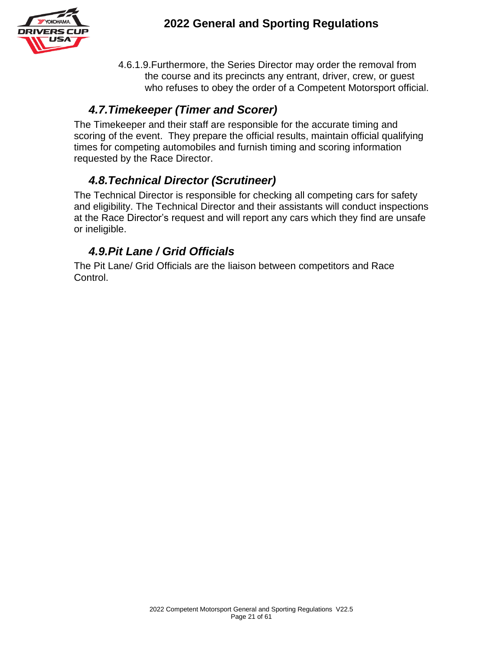

4.6.1.9.Furthermore, the Series Director may order the removal from the course and its precincts any entrant, driver, crew, or guest who refuses to obey the order of a Competent Motorsport official.

#### *4.7.Timekeeper (Timer and Scorer)*

The Timekeeper and their staff are responsible for the accurate timing and scoring of the event. They prepare the official results, maintain official qualifying times for competing automobiles and furnish timing and scoring information requested by the Race Director.

### *4.8.Technical Director (Scrutineer)*

The Technical Director is responsible for checking all competing cars for safety and eligibility. The Technical Director and their assistants will conduct inspections at the Race Director's request and will report any cars which they find are unsafe or ineligible.

### *4.9.Pit Lane / Grid Officials*

The Pit Lane/ Grid Officials are the liaison between competitors and Race Control.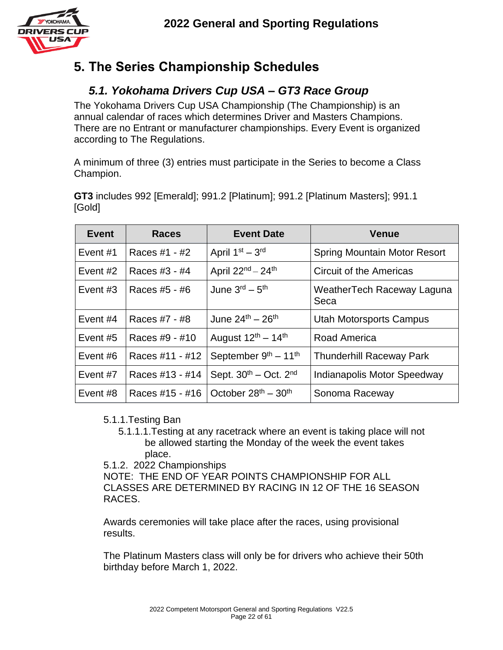

# **5. The Series Championship Schedules**

### *5.1. Yokohama Drivers Cup USA – GT3 Race Group*

The Yokohama Drivers Cup USA Championship (The Championship) is an annual calendar of races which determines Driver and Masters Champions. There are no Entrant or manufacturer championships. Every Event is organized according to The Regulations.

A minimum of three (3) entries must participate in the Series to become a Class Champion.

**GT3** includes 992 [Emerald]; 991.2 [Platinum]; 991.2 [Platinum Masters]; 991.1 [Gold]

| Event      | <b>Races</b>    | <b>Event Date</b>                    | <b>Venue</b>                        |
|------------|-----------------|--------------------------------------|-------------------------------------|
| Event #1   | Races #1 - #2   | April $1st - 3rd$                    | <b>Spring Mountain Motor Resort</b> |
| Event #2   | Races #3 - #4   | April $22^{nd} - 24^{th}$            | Circuit of the Americas             |
| Event $#3$ | Races #5 - #6   | June $3^{\text{rd}} - 5^{\text{th}}$ | WeatherTech Raceway Laguna<br>Seca  |
| Event $#4$ | Races #7 - #8   | June $24^{th} - 26^{th}$             | <b>Utah Motorsports Campus</b>      |
| Event $#5$ | Races #9 - #10  | August $12^{th} - 14^{th}$           | Road America                        |
| Event $#6$ | Races #11 - #12 | September $9th - 11th$               | <b>Thunderhill Raceway Park</b>     |
| Event #7   | Races #13 - #14 | Sept. $30^{th}$ – Oct. $2^{nd}$      | Indianapolis Motor Speedway         |
| Event #8   | Races #15 - #16 | October $28th - 30th$                | Sonoma Raceway                      |

#### 5.1.1.Testing Ban

- 5.1.1.1.Testing at any racetrack where an event is taking place will not be allowed starting the Monday of the week the event takes place.
- 5.1.2. 2022 Championships

NOTE: THE END OF YEAR POINTS CHAMPIONSHIP FOR ALL CLASSES ARE DETERMINED BY RACING IN 12 OF THE 16 SEASON RACES.

Awards ceremonies will take place after the races, using provisional results.

The Platinum Masters class will only be for drivers who achieve their 50th birthday before March 1, 2022.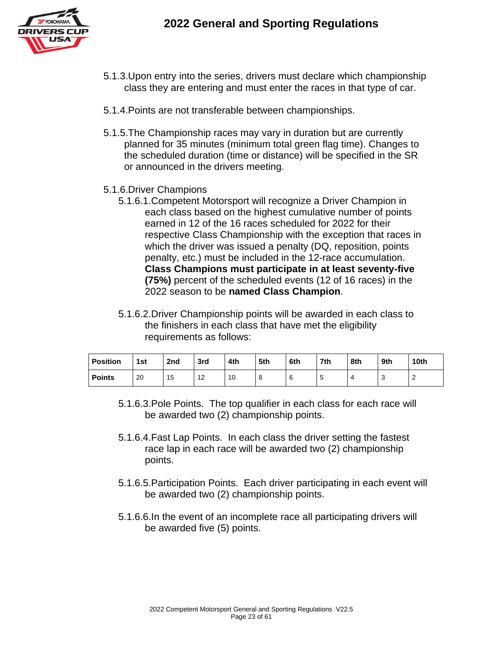

- 5.1.3.Upon entry into the series, drivers must declare which championship class they are entering and must enter the races in that type of car.
- 5.1.4.Points are not transferable between championships.
- 5.1.5.The Championship races may vary in duration but are currently planned for 35 minutes (minimum total green flag time). Changes to the scheduled duration (time or distance) will be specified in the SR or announced in the drivers meeting.
- 5.1.6.Driver Champions
	- 5.1.6.1.Competent Motorsport will recognize a Driver Champion in each class based on the highest cumulative number of points earned in 12 of the 16 races scheduled for 2022 for their respective Class Championship with the exception that races in which the driver was issued a penalty (DQ, reposition, points penalty, etc.) must be included in the 12-race accumulation. **Class Champions must participate in at least seventy-five (75%)** percent of the scheduled events (12 of 16 races) in the 2022 season to be **named Class Champion**.
	- 5.1.6.2.Driver Championship points will be awarded in each class to the finishers in each class that have met the eligibility requirements as follows:

| <b>Position</b> | 1st | 2nd | 3rd      | 4th | 5th | 6th | 7th | 8th | 9th | 10th     |
|-----------------|-----|-----|----------|-----|-----|-----|-----|-----|-----|----------|
| <b>Points</b>   | 20  | 15  | 10<br>14 | 10  | o   | 6   | u   |     | u   | <u>_</u> |

- 5.1.6.3.Pole Points. The top qualifier in each class for each race will be awarded two (2) championship points.
- 5.1.6.4.Fast Lap Points. In each class the driver setting the fastest race lap in each race will be awarded two (2) championship points.
- 5.1.6.5.Participation Points. Each driver participating in each event will be awarded two (2) championship points.
- 5.1.6.6.In the event of an incomplete race all participating drivers will be awarded five (5) points.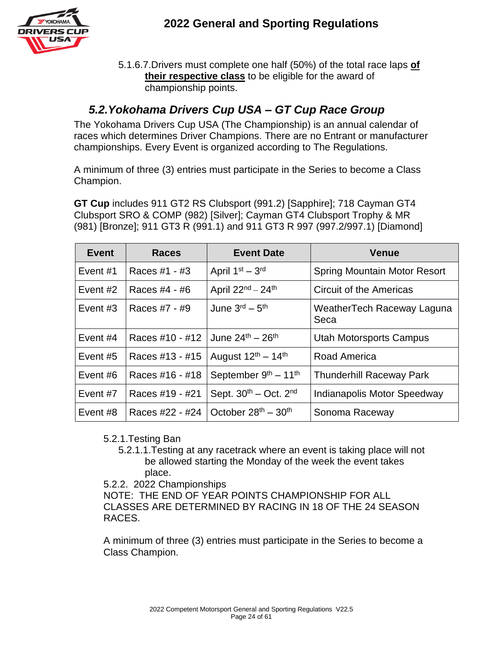

5.1.6.7.Drivers must complete one half (50%) of the total race laps **of their respective class** to be eligible for the award of championship points.

#### *5.2.Yokohama Drivers Cup USA – GT Cup Race Group*

The Yokohama Drivers Cup USA (The Championship) is an annual calendar of races which determines Driver Champions. There are no Entrant or manufacturer championships. Every Event is organized according to The Regulations.

A minimum of three (3) entries must participate in the Series to become a Class Champion.

**GT Cup** includes 911 GT2 RS Clubsport (991.2) [Sapphire]; 718 Cayman GT4 Clubsport SRO & COMP (982) [Silver]; Cayman GT4 Clubsport Trophy & MR (981) [Bronze]; 911 GT3 R (991.1) and 911 GT3 R 997 (997.2/997.1) [Diamond]

| Event      | <b>Races</b>    | <b>Event Date</b>                    | <b>Venue</b>                        |
|------------|-----------------|--------------------------------------|-------------------------------------|
| Event $#1$ | Races #1 - #3   | April $1st - 3rd$                    | <b>Spring Mountain Motor Resort</b> |
| Event $#2$ | Races #4 - #6   | April $22^{nd} - 24^{th}$            | <b>Circuit of the Americas</b>      |
| Event $#3$ | Races #7 - #9   | June $3^{\text{rd}} - 5^{\text{th}}$ | WeatherTech Raceway Laguna<br>Seca  |
| Event $#4$ | Races #10 - #12 | June $24^{th} - 26^{th}$             | <b>Utah Motorsports Campus</b>      |
| Event $#5$ | Races #13 - #15 | August $12^{th} - 14^{th}$           | Road America                        |
| Event $#6$ | Races #16 - #18 | September $9th - 11th$               | <b>Thunderhill Raceway Park</b>     |
| Event #7   | Races #19 - #21 | Sept. $30th - Oct. 2nd$              | Indianapolis Motor Speedway         |
| Event #8   | Races #22 - #24 | October $28^{th} - 30^{th}$          | Sonoma Raceway                      |

#### 5.2.1.Testing Ban

- 5.2.1.1.Testing at any racetrack where an event is taking place will not be allowed starting the Monday of the week the event takes place.
- 5.2.2. 2022 Championships

NOTE: THE END OF YEAR POINTS CHAMPIONSHIP FOR ALL CLASSES ARE DETERMINED BY RACING IN 18 OF THE 24 SEASON RACES.

A minimum of three (3) entries must participate in the Series to become a Class Champion.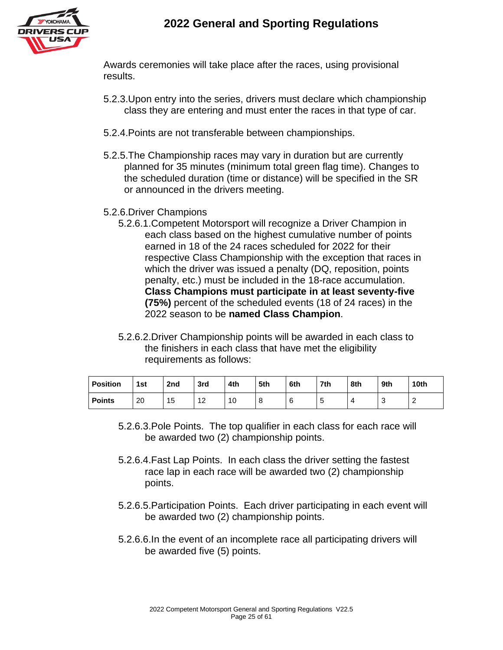

Awards ceremonies will take place after the races, using provisional results.

- 5.2.3.Upon entry into the series, drivers must declare which championship class they are entering and must enter the races in that type of car.
- 5.2.4.Points are not transferable between championships.
- 5.2.5.The Championship races may vary in duration but are currently planned for 35 minutes (minimum total green flag time). Changes to the scheduled duration (time or distance) will be specified in the SR or announced in the drivers meeting.
- 5.2.6.Driver Champions
	- 5.2.6.1.Competent Motorsport will recognize a Driver Champion in each class based on the highest cumulative number of points earned in 18 of the 24 races scheduled for 2022 for their respective Class Championship with the exception that races in which the driver was issued a penalty (DQ, reposition, points penalty, etc.) must be included in the 18-race accumulation. **Class Champions must participate in at least seventy-five (75%)** percent of the scheduled events (18 of 24 races) in the 2022 season to be **named Class Champion**.
	- 5.2.6.2.Driver Championship points will be awarded in each class to the finishers in each class that have met the eligibility requirements as follows:

| <b>Position</b> | 1st | 2 <sub>nd</sub> | 3rd | 4th | 5th           | 6th | 7th | 8th | 9th | 10th |
|-----------------|-----|-----------------|-----|-----|---------------|-----|-----|-----|-----|------|
| <b>Points</b>   | 20  | Б<br>∪ו         | 14  | 10  | $\Omega$<br>o | 6   |     |     | u   | c    |

- 5.2.6.3.Pole Points. The top qualifier in each class for each race will be awarded two (2) championship points.
- 5.2.6.4.Fast Lap Points. In each class the driver setting the fastest race lap in each race will be awarded two (2) championship points.
- 5.2.6.5.Participation Points. Each driver participating in each event will be awarded two (2) championship points.
- 5.2.6.6.In the event of an incomplete race all participating drivers will be awarded five (5) points.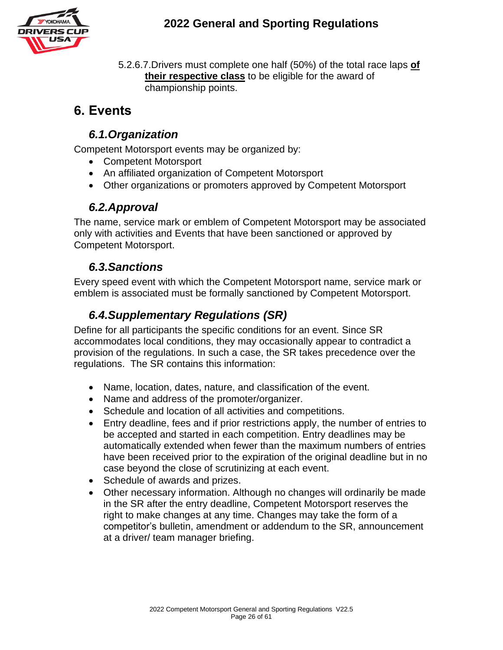

5.2.6.7.Drivers must complete one half (50%) of the total race laps **of their respective class** to be eligible for the award of championship points.

# **6. Events**

### *6.1.Organization*

Competent Motorsport events may be organized by:

- Competent Motorsport
- An affiliated organization of Competent Motorsport
- Other organizations or promoters approved by Competent Motorsport

#### *6.2.Approval*

The name, service mark or emblem of Competent Motorsport may be associated only with activities and Events that have been sanctioned or approved by Competent Motorsport.

#### *6.3.Sanctions*

Every speed event with which the Competent Motorsport name, service mark or emblem is associated must be formally sanctioned by Competent Motorsport.

### *6.4.Supplementary Regulations (SR)*

Define for all participants the specific conditions for an event. Since SR accommodates local conditions, they may occasionally appear to contradict a provision of the regulations. In such a case, the SR takes precedence over the regulations. The SR contains this information:

- Name, location, dates, nature, and classification of the event.
- Name and address of the promoter/organizer.
- Schedule and location of all activities and competitions.
- Entry deadline, fees and if prior restrictions apply, the number of entries to be accepted and started in each competition. Entry deadlines may be automatically extended when fewer than the maximum numbers of entries have been received prior to the expiration of the original deadline but in no case beyond the close of scrutinizing at each event.
- Schedule of awards and prizes.
- Other necessary information. Although no changes will ordinarily be made in the SR after the entry deadline, Competent Motorsport reserves the right to make changes at any time. Changes may take the form of a competitor's bulletin, amendment or addendum to the SR, announcement at a driver/ team manager briefing.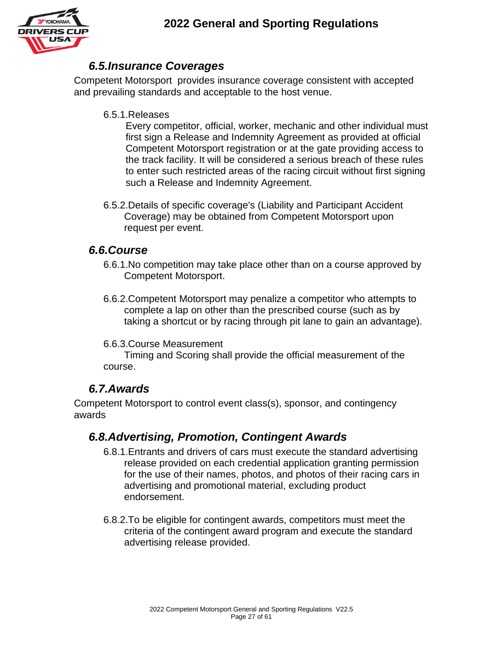

#### *6.5.Insurance Coverages*

Competent Motorsport provides insurance coverage consistent with accepted and prevailing standards and acceptable to the host venue.

#### 6.5.1.Releases

Every competitor, official, worker, mechanic and other individual must first sign a Release and Indemnity Agreement as provided at official Competent Motorsport registration or at the gate providing access to the track facility. It will be considered a serious breach of these rules to enter such restricted areas of the racing circuit without first signing such a Release and Indemnity Agreement.

6.5.2.Details of specific coverage's (Liability and Participant Accident Coverage) may be obtained from Competent Motorsport upon request per event.

#### *6.6.Course*

- 6.6.1.No competition may take place other than on a course approved by Competent Motorsport.
- 6.6.2.Competent Motorsport may penalize a competitor who attempts to complete a lap on other than the prescribed course (such as by taking a shortcut or by racing through pit lane to gain an advantage).

#### 6.6.3.Course Measurement

Timing and Scoring shall provide the official measurement of the course.

#### *6.7.Awards*

Competent Motorsport to control event class(s), sponsor, and contingency awards

#### *6.8.Advertising, Promotion, Contingent Awards*

- 6.8.1.Entrants and drivers of cars must execute the standard advertising release provided on each credential application granting permission for the use of their names, photos, and photos of their racing cars in advertising and promotional material, excluding product endorsement.
- 6.8.2.To be eligible for contingent awards, competitors must meet the criteria of the contingent award program and execute the standard advertising release provided.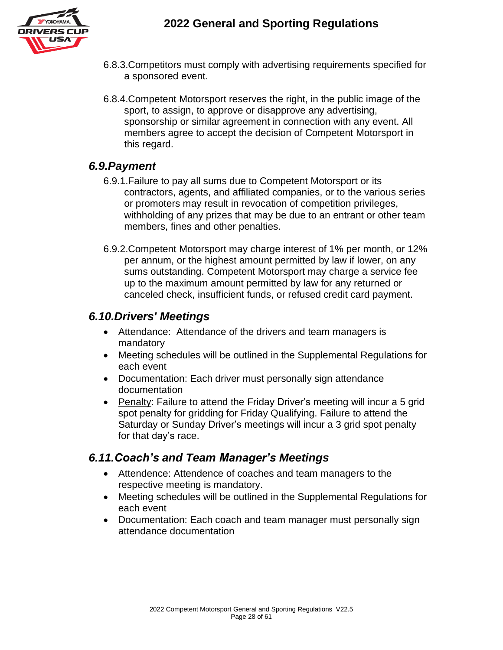

- 6.8.3.Competitors must comply with advertising requirements specified for a sponsored event.
- 6.8.4.Competent Motorsport reserves the right, in the public image of the sport, to assign, to approve or disapprove any advertising, sponsorship or similar agreement in connection with any event. All members agree to accept the decision of Competent Motorsport in this regard.

#### *6.9.Payment*

- 6.9.1.Failure to pay all sums due to Competent Motorsport or its contractors, agents, and affiliated companies, or to the various series or promoters may result in revocation of competition privileges, withholding of any prizes that may be due to an entrant or other team members, fines and other penalties.
- 6.9.2.Competent Motorsport may charge interest of 1% per month, or 12% per annum, or the highest amount permitted by law if lower, on any sums outstanding. Competent Motorsport may charge a service fee up to the maximum amount permitted by law for any returned or canceled check, insufficient funds, or refused credit card payment.

#### *6.10.Drivers' Meetings*

- Attendance: Attendance of the drivers and team managers is mandatory
- Meeting schedules will be outlined in the Supplemental Regulations for each event
- Documentation: Each driver must personally sign attendance documentation
- Penalty: Failure to attend the Friday Driver's meeting will incur a 5 grid spot penalty for gridding for Friday Qualifying. Failure to attend the Saturday or Sunday Driver's meetings will incur a 3 grid spot penalty for that day's race.

#### *6.11.Coach's and Team Manager's Meetings*

- Attendence: Attendence of coaches and team managers to the respective meeting is mandatory.
- Meeting schedules will be outlined in the Supplemental Regulations for each event
- Documentation: Each coach and team manager must personally sign attendance documentation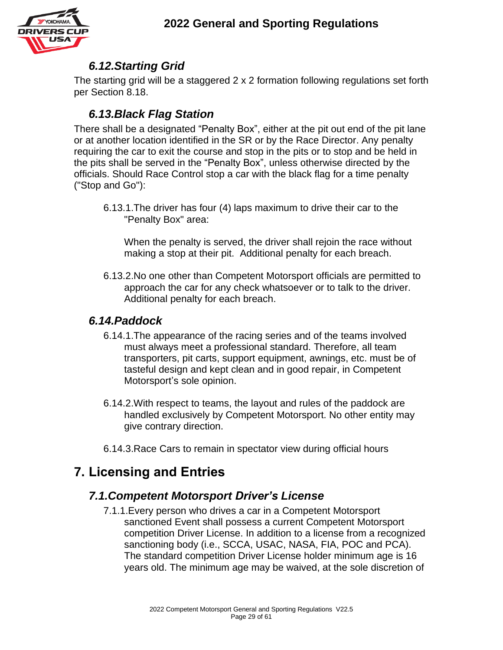

#### *6.12.Starting Grid*

The starting grid will be a staggered 2 x 2 formation following regulations set forth per Section 8.18.

### *6.13.Black Flag Station*

There shall be a designated "Penalty Box", either at the pit out end of the pit lane or at another location identified in the SR or by the Race Director. Any penalty requiring the car to exit the course and stop in the pits or to stop and be held in the pits shall be served in the "Penalty Box", unless otherwise directed by the officials. Should Race Control stop a car with the black flag for a time penalty ("Stop and Go"):

6.13.1.The driver has four (4) laps maximum to drive their car to the "Penalty Box" area:

When the penalty is served, the driver shall rejoin the race without making a stop at their pit. Additional penalty for each breach.

6.13.2.No one other than Competent Motorsport officials are permitted to approach the car for any check whatsoever or to talk to the driver. Additional penalty for each breach.

#### *6.14.Paddock*

- 6.14.1.The appearance of the racing series and of the teams involved must always meet a professional standard. Therefore, all team transporters, pit carts, support equipment, awnings, etc. must be of tasteful design and kept clean and in good repair, in Competent Motorsport's sole opinion.
- 6.14.2.With respect to teams, the layout and rules of the paddock are handled exclusively by Competent Motorsport. No other entity may give contrary direction.
- 6.14.3.Race Cars to remain in spectator view during official hours

# **7. Licensing and Entries**

### *7.1.Competent Motorsport Driver's License*

7.1.1.Every person who drives a car in a Competent Motorsport sanctioned Event shall possess a current Competent Motorsport competition Driver License. In addition to a license from a recognized sanctioning body (i.e., SCCA, USAC, NASA, FIA, POC and PCA). The standard competition Driver License holder minimum age is 16 years old. The minimum age may be waived, at the sole discretion of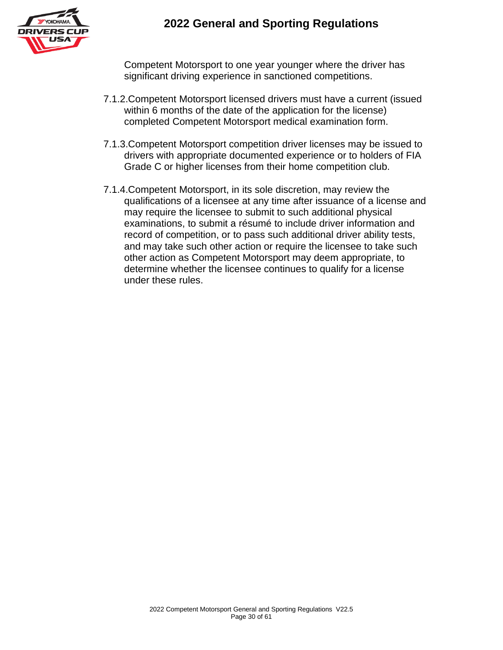

Competent Motorsport to one year younger where the driver has significant driving experience in sanctioned competitions.

- 7.1.2.Competent Motorsport licensed drivers must have a current (issued within 6 months of the date of the application for the license) completed Competent Motorsport medical examination form.
- 7.1.3.Competent Motorsport competition driver licenses may be issued to drivers with appropriate documented experience or to holders of FIA Grade C or higher licenses from their home competition club.
- 7.1.4.Competent Motorsport, in its sole discretion, may review the qualifications of a licensee at any time after issuance of a license and may require the licensee to submit to such additional physical examinations, to submit a résumé to include driver information and record of competition, or to pass such additional driver ability tests, and may take such other action or require the licensee to take such other action as Competent Motorsport may deem appropriate, to determine whether the licensee continues to qualify for a license under these rules.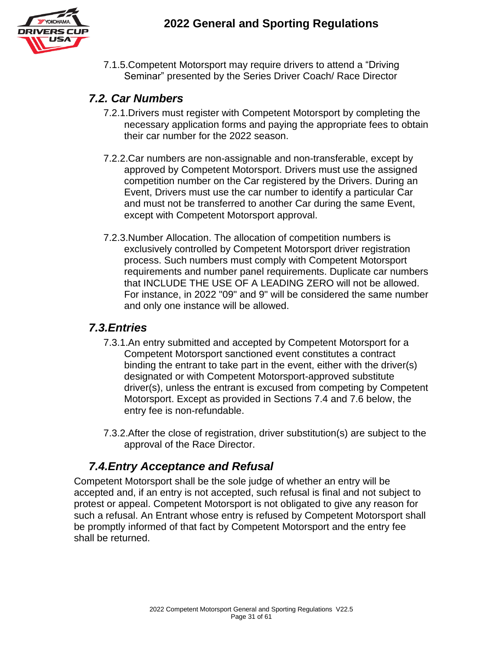

7.1.5.Competent Motorsport may require drivers to attend a "Driving Seminar" presented by the Series Driver Coach/ Race Director

#### *7.2. Car Numbers*

- 7.2.1.Drivers must register with Competent Motorsport by completing the necessary application forms and paying the appropriate fees to obtain their car number for the 2022 season.
- 7.2.2.Car numbers are non-assignable and non-transferable, except by approved by Competent Motorsport. Drivers must use the assigned competition number on the Car registered by the Drivers. During an Event, Drivers must use the car number to identify a particular Car and must not be transferred to another Car during the same Event, except with Competent Motorsport approval.
- 7.2.3.Number Allocation. The allocation of competition numbers is exclusively controlled by Competent Motorsport driver registration process. Such numbers must comply with Competent Motorsport requirements and number panel requirements. Duplicate car numbers that INCLUDE THE USE OF A LEADING ZERO will not be allowed. For instance, in 2022 "09" and 9" will be considered the same number and only one instance will be allowed.

#### *7.3.Entries*

- 7.3.1.An entry submitted and accepted by Competent Motorsport for a Competent Motorsport sanctioned event constitutes a contract binding the entrant to take part in the event, either with the driver(s) designated or with Competent Motorsport-approved substitute driver(s), unless the entrant is excused from competing by Competent Motorsport. Except as provided in Sections 7.4 and 7.6 below, the entry fee is non-refundable.
- 7.3.2.After the close of registration, driver substitution(s) are subject to the approval of the Race Director.

### *7.4.Entry Acceptance and Refusal*

Competent Motorsport shall be the sole judge of whether an entry will be accepted and, if an entry is not accepted, such refusal is final and not subject to protest or appeal. Competent Motorsport is not obligated to give any reason for such a refusal. An Entrant whose entry is refused by Competent Motorsport shall be promptly informed of that fact by Competent Motorsport and the entry fee shall be returned.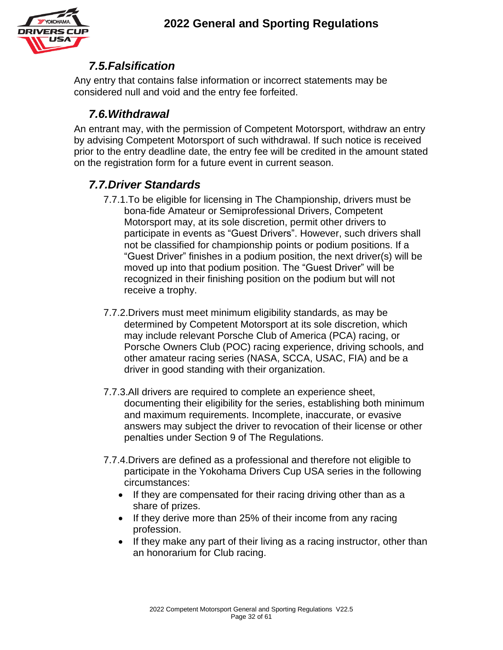

#### *7.5.Falsification*

Any entry that contains false information or incorrect statements may be considered null and void and the entry fee forfeited.

### *7.6.Withdrawal*

An entrant may, with the permission of Competent Motorsport, withdraw an entry by advising Competent Motorsport of such withdrawal. If such notice is received prior to the entry deadline date, the entry fee will be credited in the amount stated on the registration form for a future event in current season.

### *7.7.Driver Standards*

- 7.7.1.To be eligible for licensing in The Championship, drivers must be bona-fide Amateur or Semiprofessional Drivers, Competent Motorsport may, at its sole discretion, permit other drivers to participate in events as "Guest Drivers". However, such drivers shall not be classified for championship points or podium positions. If a "Guest Driver" finishes in a podium position, the next driver(s) will be moved up into that podium position. The "Guest Driver" will be recognized in their finishing position on the podium but will not receive a trophy.
- 7.7.2.Drivers must meet minimum eligibility standards, as may be determined by Competent Motorsport at its sole discretion, which may include relevant Porsche Club of America (PCA) racing, or Porsche Owners Club (POC) racing experience, driving schools, and other amateur racing series (NASA, SCCA, USAC, FIA) and be a driver in good standing with their organization.
- 7.7.3.All drivers are required to complete an experience sheet, documenting their eligibility for the series, establishing both minimum and maximum requirements. Incomplete, inaccurate, or evasive answers may subject the driver to revocation of their license or other penalties under Section 9 of The Regulations.
- 7.7.4.Drivers are defined as a professional and therefore not eligible to participate in the Yokohama Drivers Cup USA series in the following circumstances:
	- If they are compensated for their racing driving other than as a share of prizes.
	- If they derive more than 25% of their income from any racing profession.
	- If they make any part of their living as a racing instructor, other than an honorarium for Club racing.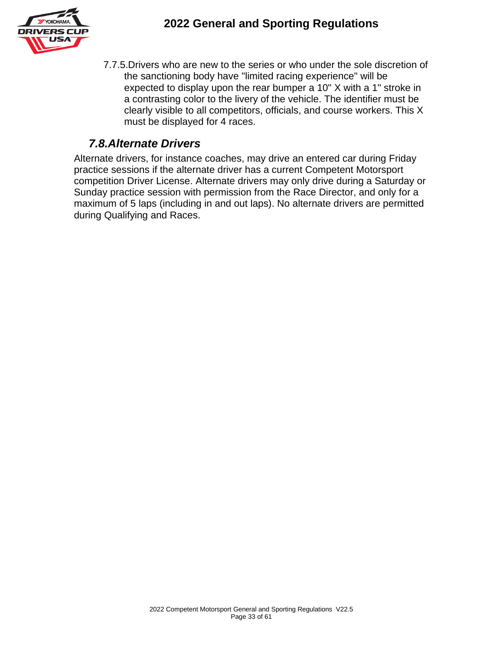

7.7.5.Drivers who are new to the series or who under the sole discretion of the sanctioning body have "limited racing experience" will be expected to display upon the rear bumper a 10" X with a 1" stroke in a contrasting color to the livery of the vehicle. The identifier must be clearly visible to all competitors, officials, and course workers. This X must be displayed for 4 races.

### *7.8.Alternate Drivers*

Alternate drivers, for instance coaches, may drive an entered car during Friday practice sessions if the alternate driver has a current Competent Motorsport competition Driver License. Alternate drivers may only drive during a Saturday or Sunday practice session with permission from the Race Director, and only for a maximum of 5 laps (including in and out laps). No alternate drivers are permitted during Qualifying and Races.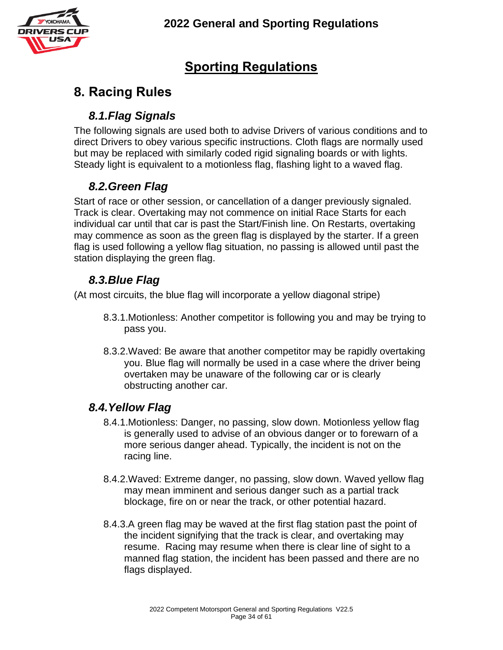

# **Sporting Regulations**

# **8. Racing Rules**

### *8.1.Flag Signals*

The following signals are used both to advise Drivers of various conditions and to direct Drivers to obey various specific instructions. Cloth flags are normally used but may be replaced with similarly coded rigid signaling boards or with lights. Steady light is equivalent to a motionless flag, flashing light to a waved flag.

### *8.2.Green Flag*

Start of race or other session, or cancellation of a danger previously signaled. Track is clear. Overtaking may not commence on initial Race Starts for each individual car until that car is past the Start/Finish line. On Restarts, overtaking may commence as soon as the green flag is displayed by the starter. If a green flag is used following a yellow flag situation, no passing is allowed until past the station displaying the green flag.

### *8.3.Blue Flag*

(At most circuits, the blue flag will incorporate a yellow diagonal stripe)

- 8.3.1.Motionless: Another competitor is following you and may be trying to pass you.
- 8.3.2.Waved: Be aware that another competitor may be rapidly overtaking you. Blue flag will normally be used in a case where the driver being overtaken may be unaware of the following car or is clearly obstructing another car.

### *8.4.Yellow Flag*

- 8.4.1.Motionless: Danger, no passing, slow down. Motionless yellow flag is generally used to advise of an obvious danger or to forewarn of a more serious danger ahead. Typically, the incident is not on the racing line.
- 8.4.2.Waved: Extreme danger, no passing, slow down. Waved yellow flag may mean imminent and serious danger such as a partial track blockage, fire on or near the track, or other potential hazard.
- 8.4.3.A green flag may be waved at the first flag station past the point of the incident signifying that the track is clear, and overtaking may resume. Racing may resume when there is clear line of sight to a manned flag station, the incident has been passed and there are no flags displayed.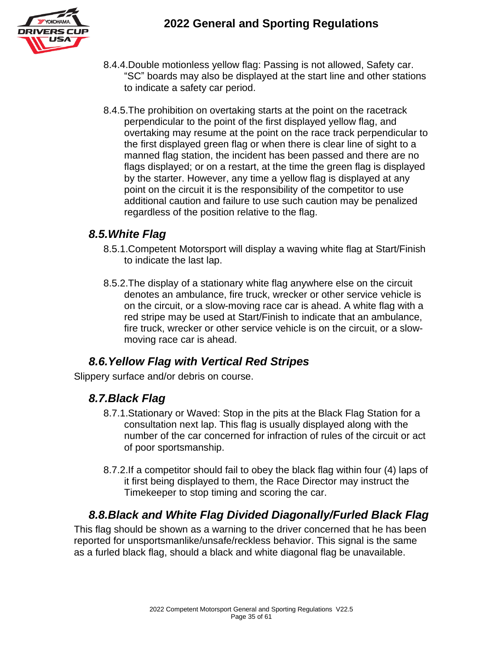

- 8.4.4.Double motionless yellow flag: Passing is not allowed, Safety car. "SC" boards may also be displayed at the start line and other stations to indicate a safety car period.
- 8.4.5.The prohibition on overtaking starts at the point on the racetrack perpendicular to the point of the first displayed yellow flag, and overtaking may resume at the point on the race track perpendicular to the first displayed green flag or when there is clear line of sight to a manned flag station, the incident has been passed and there are no flags displayed; or on a restart, at the time the green flag is displayed by the starter. However, any time a yellow flag is displayed at any point on the circuit it is the responsibility of the competitor to use additional caution and failure to use such caution may be penalized regardless of the position relative to the flag.

#### *8.5.White Flag*

- 8.5.1.Competent Motorsport will display a waving white flag at Start/Finish to indicate the last lap.
- 8.5.2.The display of a stationary white flag anywhere else on the circuit denotes an ambulance, fire truck, wrecker or other service vehicle is on the circuit, or a slow-moving race car is ahead. A white flag with a red stripe may be used at Start/Finish to indicate that an ambulance, fire truck, wrecker or other service vehicle is on the circuit, or a slowmoving race car is ahead.

### *8.6.Yellow Flag with Vertical Red Stripes*

Slippery surface and/or debris on course.

#### *8.7.Black Flag*

- 8.7.1.Stationary or Waved: Stop in the pits at the Black Flag Station for a consultation next lap. This flag is usually displayed along with the number of the car concerned for infraction of rules of the circuit or act of poor sportsmanship.
- 8.7.2.If a competitor should fail to obey the black flag within four (4) laps of it first being displayed to them, the Race Director may instruct the Timekeeper to stop timing and scoring the car.

#### *8.8.Black and White Flag Divided Diagonally/Furled Black Flag*

This flag should be shown as a warning to the driver concerned that he has been reported for unsportsmanlike/unsafe/reckless behavior. This signal is the same as a furled black flag, should a black and white diagonal flag be unavailable.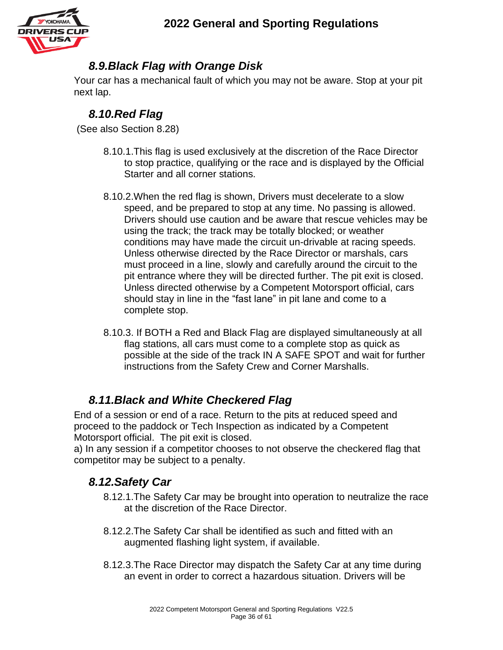

### *8.9.Black Flag with Orange Disk*

Your car has a mechanical fault of which you may not be aware. Stop at your pit next lap.

### *8.10.Red Flag*

(See also Section 8.28)

- 8.10.1.This flag is used exclusively at the discretion of the Race Director to stop practice, qualifying or the race and is displayed by the Official Starter and all corner stations.
- 8.10.2.When the red flag is shown, Drivers must decelerate to a slow speed, and be prepared to stop at any time. No passing is allowed. Drivers should use caution and be aware that rescue vehicles may be using the track; the track may be totally blocked; or weather conditions may have made the circuit un-drivable at racing speeds. Unless otherwise directed by the Race Director or marshals, cars must proceed in a line, slowly and carefully around the circuit to the pit entrance where they will be directed further. The pit exit is closed. Unless directed otherwise by a Competent Motorsport official, cars should stay in line in the "fast lane" in pit lane and come to a complete stop.
- 8.10.3. If BOTH a Red and Black Flag are displayed simultaneously at all flag stations, all cars must come to a complete stop as quick as possible at the side of the track IN A SAFE SPOT and wait for further instructions from the Safety Crew and Corner Marshalls.

### *8.11.Black and White Checkered Flag*

End of a session or end of a race. Return to the pits at reduced speed and proceed to the paddock or Tech Inspection as indicated by a Competent Motorsport official. The pit exit is closed.

a) In any session if a competitor chooses to not observe the checkered flag that competitor may be subject to a penalty.

### *8.12.Safety Car*

- 8.12.1.The Safety Car may be brought into operation to neutralize the race at the discretion of the Race Director.
- 8.12.2.The Safety Car shall be identified as such and fitted with an augmented flashing light system, if available.
- 8.12.3.The Race Director may dispatch the Safety Car at any time during an event in order to correct a hazardous situation. Drivers will be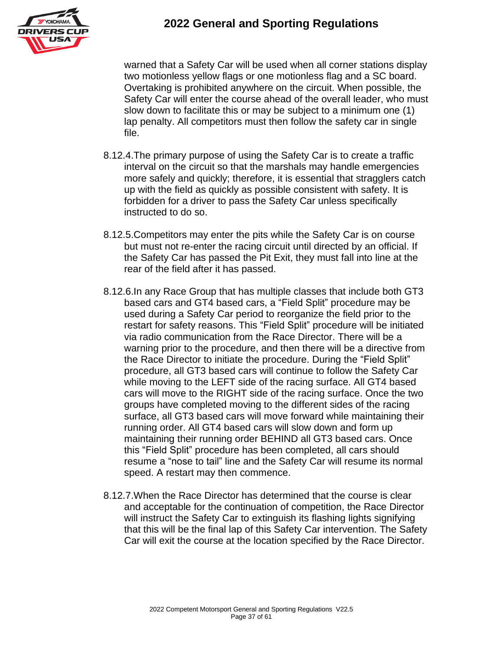

warned that a Safety Car will be used when all corner stations display two motionless yellow flags or one motionless flag and a SC board. Overtaking is prohibited anywhere on the circuit. When possible, the Safety Car will enter the course ahead of the overall leader, who must slow down to facilitate this or may be subject to a minimum one (1) lap penalty. All competitors must then follow the safety car in single file.

- 8.12.4.The primary purpose of using the Safety Car is to create a traffic interval on the circuit so that the marshals may handle emergencies more safely and quickly; therefore, it is essential that stragglers catch up with the field as quickly as possible consistent with safety. It is forbidden for a driver to pass the Safety Car unless specifically instructed to do so.
- 8.12.5.Competitors may enter the pits while the Safety Car is on course but must not re-enter the racing circuit until directed by an official. If the Safety Car has passed the Pit Exit, they must fall into line at the rear of the field after it has passed.
- 8.12.6.In any Race Group that has multiple classes that include both GT3 based cars and GT4 based cars, a "Field Split" procedure may be used during a Safety Car period to reorganize the field prior to the restart for safety reasons. This "Field Split" procedure will be initiated via radio communication from the Race Director. There will be a warning prior to the procedure, and then there will be a directive from the Race Director to initiate the procedure. During the "Field Split" procedure, all GT3 based cars will continue to follow the Safety Car while moving to the LEFT side of the racing surface. All GT4 based cars will move to the RIGHT side of the racing surface. Once the two groups have completed moving to the different sides of the racing surface, all GT3 based cars will move forward while maintaining their running order. All GT4 based cars will slow down and form up maintaining their running order BEHIND all GT3 based cars. Once this "Field Split" procedure has been completed, all cars should resume a "nose to tail" line and the Safety Car will resume its normal speed. A restart may then commence.
- 8.12.7.When the Race Director has determined that the course is clear and acceptable for the continuation of competition, the Race Director will instruct the Safety Car to extinguish its flashing lights signifying that this will be the final lap of this Safety Car intervention. The Safety Car will exit the course at the location specified by the Race Director.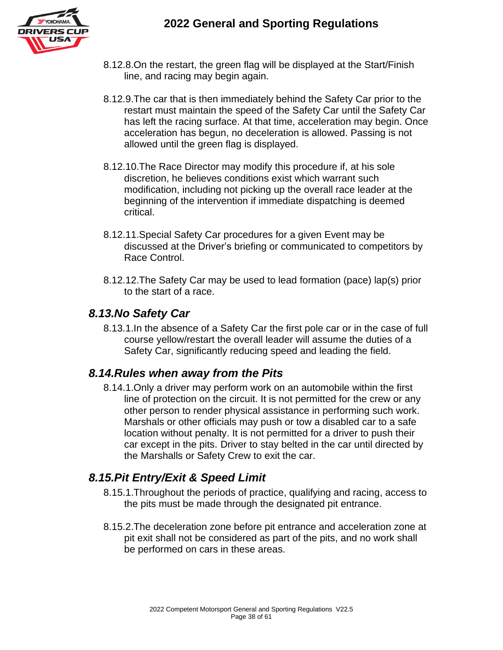

- 8.12.8.On the restart, the green flag will be displayed at the Start/Finish line, and racing may begin again.
- 8.12.9.The car that is then immediately behind the Safety Car prior to the restart must maintain the speed of the Safety Car until the Safety Car has left the racing surface. At that time, acceleration may begin. Once acceleration has begun, no deceleration is allowed. Passing is not allowed until the green flag is displayed.
- 8.12.10.The Race Director may modify this procedure if, at his sole discretion, he believes conditions exist which warrant such modification, including not picking up the overall race leader at the beginning of the intervention if immediate dispatching is deemed critical.
- 8.12.11.Special Safety Car procedures for a given Event may be discussed at the Driver's briefing or communicated to competitors by Race Control.
- 8.12.12.The Safety Car may be used to lead formation (pace) lap(s) prior to the start of a race.

#### *8.13.No Safety Car*

8.13.1.In the absence of a Safety Car the first pole car or in the case of full course yellow/restart the overall leader will assume the duties of a Safety Car, significantly reducing speed and leading the field.

#### *8.14.Rules when away from the Pits*

8.14.1.Only a driver may perform work on an automobile within the first line of protection on the circuit. It is not permitted for the crew or any other person to render physical assistance in performing such work. Marshals or other officials may push or tow a disabled car to a safe location without penalty. It is not permitted for a driver to push their car except in the pits. Driver to stay belted in the car until directed by the Marshalls or Safety Crew to exit the car.

#### *8.15.Pit Entry/Exit & Speed Limit*

- 8.15.1.Throughout the periods of practice, qualifying and racing, access to the pits must be made through the designated pit entrance.
- 8.15.2.The deceleration zone before pit entrance and acceleration zone at pit exit shall not be considered as part of the pits, and no work shall be performed on cars in these areas.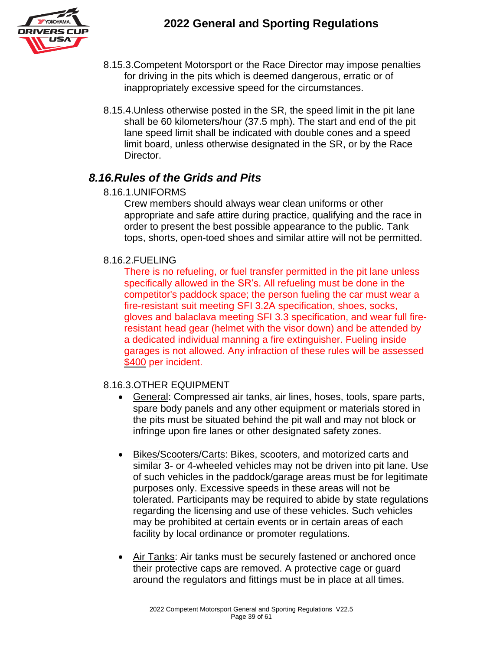

- 8.15.3.Competent Motorsport or the Race Director may impose penalties for driving in the pits which is deemed dangerous, erratic or of inappropriately excessive speed for the circumstances.
- 8.15.4.Unless otherwise posted in the SR, the speed limit in the pit lane shall be 60 kilometers/hour (37.5 mph). The start and end of the pit lane speed limit shall be indicated with double cones and a speed limit board, unless otherwise designated in the SR, or by the Race Director.

#### *8.16.Rules of the Grids and Pits*

8.16.1.UNIFORMS

Crew members should always wear clean uniforms or other appropriate and safe attire during practice, qualifying and the race in order to present the best possible appearance to the public. Tank tops, shorts, open-toed shoes and similar attire will not be permitted.

#### 8.16.2.FUELING

There is no refueling, or fuel transfer permitted in the pit lane unless specifically allowed in the SR's. All refueling must be done in the competitor's paddock space; the person fueling the car must wear a fire-resistant suit meeting SFI 3.2A specification, shoes, socks, gloves and balaclava meeting SFI 3.3 specification, and wear full fireresistant head gear (helmet with the visor down) and be attended by a dedicated individual manning a fire extinguisher. Fueling inside garages is not allowed. Any infraction of these rules will be assessed \$400 per incident.

#### 8.16.3.OTHER EQUIPMENT

- General: Compressed air tanks, air lines, hoses, tools, spare parts, spare body panels and any other equipment or materials stored in the pits must be situated behind the pit wall and may not block or infringe upon fire lanes or other designated safety zones.
- Bikes/Scooters/Carts: Bikes, scooters, and motorized carts and similar 3- or 4-wheeled vehicles may not be driven into pit lane. Use of such vehicles in the paddock/garage areas must be for legitimate purposes only. Excessive speeds in these areas will not be tolerated. Participants may be required to abide by state regulations regarding the licensing and use of these vehicles. Such vehicles may be prohibited at certain events or in certain areas of each facility by local ordinance or promoter regulations.
- Air Tanks: Air tanks must be securely fastened or anchored once their protective caps are removed. A protective cage or guard around the regulators and fittings must be in place at all times.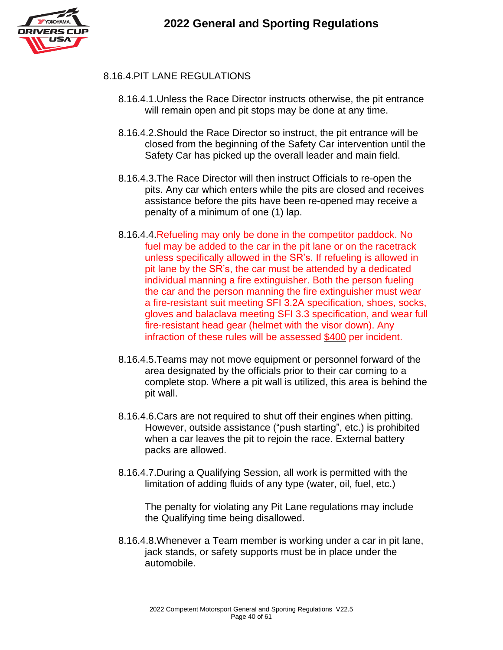

#### 8.16.4.PIT LANE REGULATIONS

- 8.16.4.1.Unless the Race Director instructs otherwise, the pit entrance will remain open and pit stops may be done at any time.
- 8.16.4.2.Should the Race Director so instruct, the pit entrance will be closed from the beginning of the Safety Car intervention until the Safety Car has picked up the overall leader and main field.
- 8.16.4.3.The Race Director will then instruct Officials to re-open the pits. Any car which enters while the pits are closed and receives assistance before the pits have been re-opened may receive a penalty of a minimum of one (1) lap.
- 8.16.4.4.Refueling may only be done in the competitor paddock. No fuel may be added to the car in the pit lane or on the racetrack unless specifically allowed in the SR's. If refueling is allowed in pit lane by the SR's, the car must be attended by a dedicated individual manning a fire extinguisher. Both the person fueling the car and the person manning the fire extinguisher must wear a fire-resistant suit meeting SFI 3.2A specification, shoes, socks, gloves and balaclava meeting SFI 3.3 specification, and wear full fire-resistant head gear (helmet with the visor down). Any infraction of these rules will be assessed \$400 per incident.
- 8.16.4.5.Teams may not move equipment or personnel forward of the area designated by the officials prior to their car coming to a complete stop. Where a pit wall is utilized, this area is behind the pit wall.
- 8.16.4.6.Cars are not required to shut off their engines when pitting. However, outside assistance ("push starting", etc.) is prohibited when a car leaves the pit to rejoin the race. External battery packs are allowed.
- 8.16.4.7.During a Qualifying Session, all work is permitted with the limitation of adding fluids of any type (water, oil, fuel, etc.)

The penalty for violating any Pit Lane regulations may include the Qualifying time being disallowed.

8.16.4.8.Whenever a Team member is working under a car in pit lane, jack stands, or safety supports must be in place under the automobile.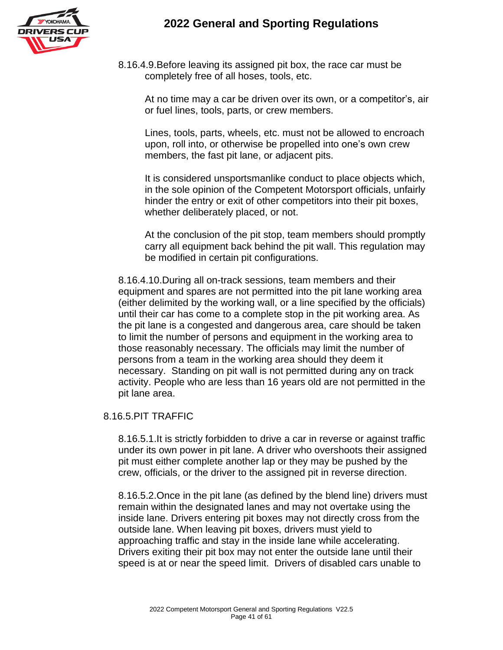

8.16.4.9.Before leaving its assigned pit box, the race car must be completely free of all hoses, tools, etc.

At no time may a car be driven over its own, or a competitor's, air or fuel lines, tools, parts, or crew members.

Lines, tools, parts, wheels, etc. must not be allowed to encroach upon, roll into, or otherwise be propelled into one's own crew members, the fast pit lane, or adjacent pits.

It is considered unsportsmanlike conduct to place objects which, in the sole opinion of the Competent Motorsport officials, unfairly hinder the entry or exit of other competitors into their pit boxes, whether deliberately placed, or not.

At the conclusion of the pit stop, team members should promptly carry all equipment back behind the pit wall. This regulation may be modified in certain pit configurations.

8.16.4.10.During all on-track sessions, team members and their equipment and spares are not permitted into the pit lane working area (either delimited by the working wall, or a line specified by the officials) until their car has come to a complete stop in the pit working area. As the pit lane is a congested and dangerous area, care should be taken to limit the number of persons and equipment in the working area to those reasonably necessary. The officials may limit the number of persons from a team in the working area should they deem it necessary. Standing on pit wall is not permitted during any on track activity. People who are less than 16 years old are not permitted in the pit lane area.

#### 8.16.5.PIT TRAFFIC

8.16.5.1.It is strictly forbidden to drive a car in reverse or against traffic under its own power in pit lane. A driver who overshoots their assigned pit must either complete another lap or they may be pushed by the crew, officials, or the driver to the assigned pit in reverse direction.

8.16.5.2.Once in the pit lane (as defined by the blend line) drivers must remain within the designated lanes and may not overtake using the inside lane. Drivers entering pit boxes may not directly cross from the outside lane. When leaving pit boxes, drivers must yield to approaching traffic and stay in the inside lane while accelerating. Drivers exiting their pit box may not enter the outside lane until their speed is at or near the speed limit. Drivers of disabled cars unable to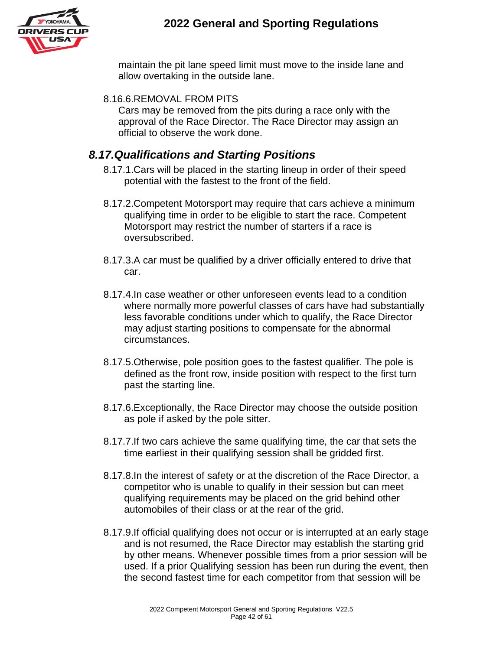

maintain the pit lane speed limit must move to the inside lane and allow overtaking in the outside lane.

#### 8.16.6.REMOVAL FROM PITS

Cars may be removed from the pits during a race only with the approval of the Race Director. The Race Director may assign an official to observe the work done.

#### *8.17.Qualifications and Starting Positions*

- 8.17.1.Cars will be placed in the starting lineup in order of their speed potential with the fastest to the front of the field.
- 8.17.2.Competent Motorsport may require that cars achieve a minimum qualifying time in order to be eligible to start the race. Competent Motorsport may restrict the number of starters if a race is oversubscribed.
- 8.17.3.A car must be qualified by a driver officially entered to drive that car.
- 8.17.4.In case weather or other unforeseen events lead to a condition where normally more powerful classes of cars have had substantially less favorable conditions under which to qualify, the Race Director may adjust starting positions to compensate for the abnormal circumstances.
- 8.17.5.Otherwise, pole position goes to the fastest qualifier. The pole is defined as the front row, inside position with respect to the first turn past the starting line.
- 8.17.6.Exceptionally, the Race Director may choose the outside position as pole if asked by the pole sitter.
- 8.17.7.If two cars achieve the same qualifying time, the car that sets the time earliest in their qualifying session shall be gridded first.
- 8.17.8.In the interest of safety or at the discretion of the Race Director, a competitor who is unable to qualify in their session but can meet qualifying requirements may be placed on the grid behind other automobiles of their class or at the rear of the grid.
- 8.17.9.If official qualifying does not occur or is interrupted at an early stage and is not resumed, the Race Director may establish the starting grid by other means. Whenever possible times from a prior session will be used. If a prior Qualifying session has been run during the event, then the second fastest time for each competitor from that session will be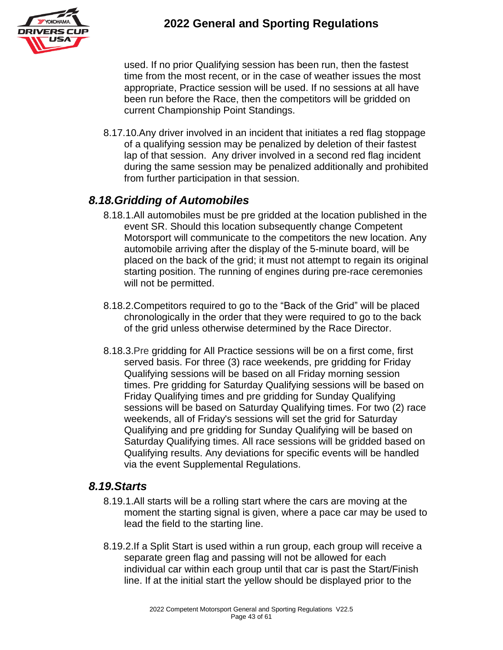

used. If no prior Qualifying session has been run, then the fastest time from the most recent, or in the case of weather issues the most appropriate, Practice session will be used. If no sessions at all have been run before the Race, then the competitors will be gridded on current Championship Point Standings.

8.17.10.Any driver involved in an incident that initiates a red flag stoppage of a qualifying session may be penalized by deletion of their fastest lap of that session. Any driver involved in a second red flag incident during the same session may be penalized additionally and prohibited from further participation in that session.

### *8.18.Gridding of Automobiles*

- 8.18.1.All automobiles must be pre gridded at the location published in the event SR. Should this location subsequently change Competent Motorsport will communicate to the competitors the new location. Any automobile arriving after the display of the 5-minute board, will be placed on the back of the grid; it must not attempt to regain its original starting position. The running of engines during pre-race ceremonies will not be permitted.
- 8.18.2.Competitors required to go to the "Back of the Grid" will be placed chronologically in the order that they were required to go to the back of the grid unless otherwise determined by the Race Director.
- 8.18.3.Pre gridding for All Practice sessions will be on a first come, first served basis. For three (3) race weekends, pre gridding for Friday Qualifying sessions will be based on all Friday morning session times. Pre gridding for Saturday Qualifying sessions will be based on Friday Qualifying times and pre gridding for Sunday Qualifying sessions will be based on Saturday Qualifying times. For two (2) race weekends, all of Friday's sessions will set the grid for Saturday Qualifying and pre gridding for Sunday Qualifying will be based on Saturday Qualifying times. All race sessions will be gridded based on Qualifying results. Any deviations for specific events will be handled via the event Supplemental Regulations.

#### *8.19.Starts*

- 8.19.1.All starts will be a rolling start where the cars are moving at the moment the starting signal is given, where a pace car may be used to lead the field to the starting line.
- 8.19.2.If a Split Start is used within a run group, each group will receive a separate green flag and passing will not be allowed for each individual car within each group until that car is past the Start/Finish line. If at the initial start the yellow should be displayed prior to the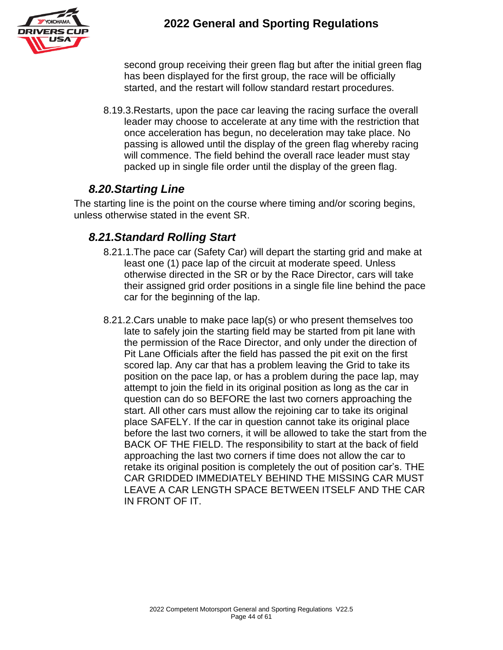

second group receiving their green flag but after the initial green flag has been displayed for the first group, the race will be officially started, and the restart will follow standard restart procedures.

8.19.3.Restarts, upon the pace car leaving the racing surface the overall leader may choose to accelerate at any time with the restriction that once acceleration has begun, no deceleration may take place. No passing is allowed until the display of the green flag whereby racing will commence. The field behind the overall race leader must stay packed up in single file order until the display of the green flag.

### *8.20.Starting Line*

The starting line is the point on the course where timing and/or scoring begins, unless otherwise stated in the event SR.

### *8.21.Standard Rolling Start*

- 8.21.1.The pace car (Safety Car) will depart the starting grid and make at least one (1) pace lap of the circuit at moderate speed. Unless otherwise directed in the SR or by the Race Director, cars will take their assigned grid order positions in a single file line behind the pace car for the beginning of the lap.
- 8.21.2.Cars unable to make pace lap(s) or who present themselves too late to safely join the starting field may be started from pit lane with the permission of the Race Director, and only under the direction of Pit Lane Officials after the field has passed the pit exit on the first scored lap. Any car that has a problem leaving the Grid to take its position on the pace lap, or has a problem during the pace lap, may attempt to join the field in its original position as long as the car in question can do so BEFORE the last two corners approaching the start. All other cars must allow the rejoining car to take its original place SAFELY. If the car in question cannot take its original place before the last two corners, it will be allowed to take the start from the BACK OF THE FIELD. The responsibility to start at the back of field approaching the last two corners if time does not allow the car to retake its original position is completely the out of position car's. THE CAR GRIDDED IMMEDIATELY BEHIND THE MISSING CAR MUST LEAVE A CAR LENGTH SPACE BETWEEN ITSELF AND THE CAR IN FRONT OF IT.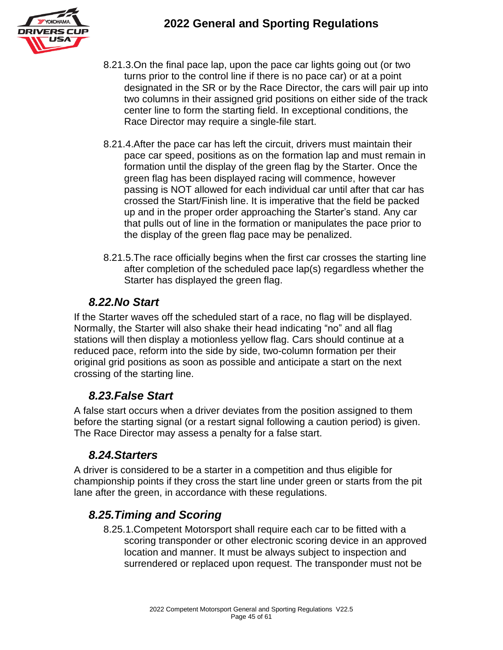

- 8.21.3.On the final pace lap, upon the pace car lights going out (or two turns prior to the control line if there is no pace car) or at a point designated in the SR or by the Race Director, the cars will pair up into two columns in their assigned grid positions on either side of the track center line to form the starting field. In exceptional conditions, the Race Director may require a single-file start.
- 8.21.4.After the pace car has left the circuit, drivers must maintain their pace car speed, positions as on the formation lap and must remain in formation until the display of the green flag by the Starter. Once the green flag has been displayed racing will commence, however passing is NOT allowed for each individual car until after that car has crossed the Start/Finish line. It is imperative that the field be packed up and in the proper order approaching the Starter's stand. Any car that pulls out of line in the formation or manipulates the pace prior to the display of the green flag pace may be penalized.
- 8.21.5.The race officially begins when the first car crosses the starting line after completion of the scheduled pace lap(s) regardless whether the Starter has displayed the green flag.

#### *8.22.No Start*

If the Starter waves off the scheduled start of a race, no flag will be displayed. Normally, the Starter will also shake their head indicating "no" and all flag stations will then display a motionless yellow flag. Cars should continue at a reduced pace, reform into the side by side, two-column formation per their original grid positions as soon as possible and anticipate a start on the next crossing of the starting line.

#### *8.23.False Start*

A false start occurs when a driver deviates from the position assigned to them before the starting signal (or a restart signal following a caution period) is given. The Race Director may assess a penalty for a false start.

#### *8.24.Starters*

A driver is considered to be a starter in a competition and thus eligible for championship points if they cross the start line under green or starts from the pit lane after the green, in accordance with these regulations.

### *8.25.Timing and Scoring*

8.25.1.Competent Motorsport shall require each car to be fitted with a scoring transponder or other electronic scoring device in an approved location and manner. It must be always subject to inspection and surrendered or replaced upon request. The transponder must not be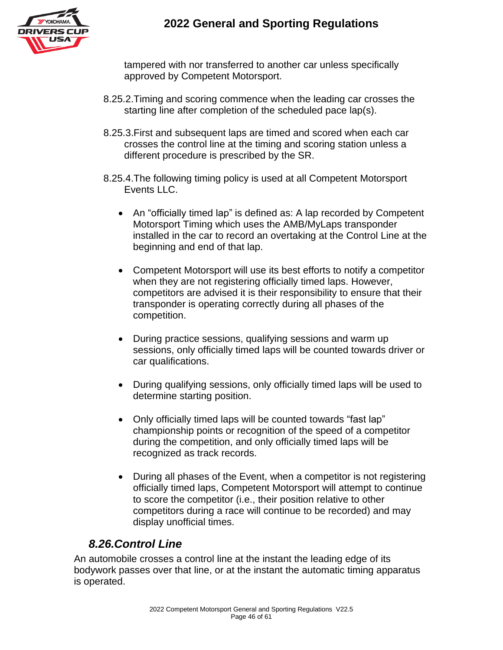

tampered with nor transferred to another car unless specifically approved by Competent Motorsport.

- 8.25.2.Timing and scoring commence when the leading car crosses the starting line after completion of the scheduled pace lap(s).
- 8.25.3.First and subsequent laps are timed and scored when each car crosses the control line at the timing and scoring station unless a different procedure is prescribed by the SR.
- 8.25.4.The following timing policy is used at all Competent Motorsport Events LLC.
	- An "officially timed lap" is defined as: A lap recorded by Competent Motorsport Timing which uses the AMB/MyLaps transponder installed in the car to record an overtaking at the Control Line at the beginning and end of that lap.
	- Competent Motorsport will use its best efforts to notify a competitor when they are not registering officially timed laps. However, competitors are advised it is their responsibility to ensure that their transponder is operating correctly during all phases of the competition.
	- During practice sessions, qualifying sessions and warm up sessions, only officially timed laps will be counted towards driver or car qualifications.
	- During qualifying sessions, only officially timed laps will be used to determine starting position.
	- Only officially timed laps will be counted towards "fast lap" championship points or recognition of the speed of a competitor during the competition, and only officially timed laps will be recognized as track records.
	- During all phases of the Event, when a competitor is not registering officially timed laps, Competent Motorsport will attempt to continue to score the competitor (i.e., their position relative to other competitors during a race will continue to be recorded) and may display unofficial times.

### *8.26.Control Line*

An automobile crosses a control line at the instant the leading edge of its bodywork passes over that line, or at the instant the automatic timing apparatus is operated.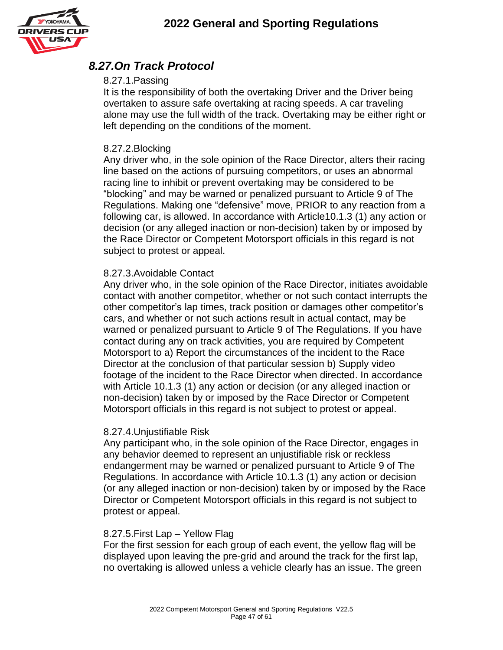

#### *8.27.On Track Protocol*

#### 8.27.1.Passing

It is the responsibility of both the overtaking Driver and the Driver being overtaken to assure safe overtaking at racing speeds. A car traveling alone may use the full width of the track. Overtaking may be either right or left depending on the conditions of the moment.

#### 8.27.2.Blocking

Any driver who, in the sole opinion of the Race Director, alters their racing line based on the actions of pursuing competitors, or uses an abnormal racing line to inhibit or prevent overtaking may be considered to be "blocking" and may be warned or penalized pursuant to Article 9 of The Regulations. Making one "defensive" move, PRIOR to any reaction from a following car, is allowed. In accordance with Article10.1.3 (1) any action or decision (or any alleged inaction or non-decision) taken by or imposed by the Race Director or Competent Motorsport officials in this regard is not subject to protest or appeal.

#### 8.27.3.Avoidable Contact

Any driver who, in the sole opinion of the Race Director, initiates avoidable contact with another competitor, whether or not such contact interrupts the other competitor's lap times, track position or damages other competitor's cars, and whether or not such actions result in actual contact, may be warned or penalized pursuant to Article 9 of The Regulations. If you have contact during any on track activities, you are required by Competent Motorsport to a) Report the circumstances of the incident to the Race Director at the conclusion of that particular session b) Supply video footage of the incident to the Race Director when directed. In accordance with Article 10.1.3 (1) any action or decision (or any alleged inaction or non-decision) taken by or imposed by the Race Director or Competent Motorsport officials in this regard is not subject to protest or appeal.

#### 8.27.4.Unjustifiable Risk

Any participant who, in the sole opinion of the Race Director, engages in any behavior deemed to represent an unjustifiable risk or reckless endangerment may be warned or penalized pursuant to Article 9 of The Regulations. In accordance with Article 10.1.3 (1) any action or decision (or any alleged inaction or non-decision) taken by or imposed by the Race Director or Competent Motorsport officials in this regard is not subject to protest or appeal.

#### 8.27.5.First Lap – Yellow Flag

For the first session for each group of each event, the yellow flag will be displayed upon leaving the pre-grid and around the track for the first lap, no overtaking is allowed unless a vehicle clearly has an issue. The green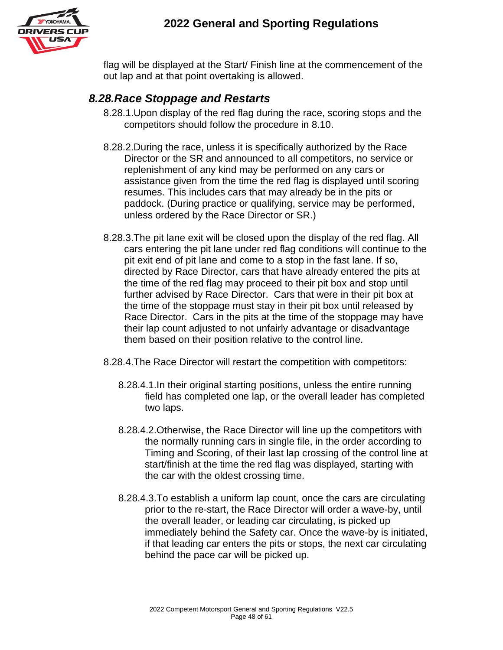

flag will be displayed at the Start/ Finish line at the commencement of the out lap and at that point overtaking is allowed.

#### *8.28.Race Stoppage and Restarts*

- 8.28.1.Upon display of the red flag during the race, scoring stops and the competitors should follow the procedure in 8.10.
- 8.28.2.During the race, unless it is specifically authorized by the Race Director or the SR and announced to all competitors, no service or replenishment of any kind may be performed on any cars or assistance given from the time the red flag is displayed until scoring resumes. This includes cars that may already be in the pits or paddock. (During practice or qualifying, service may be performed, unless ordered by the Race Director or SR.)
- 8.28.3.The pit lane exit will be closed upon the display of the red flag. All cars entering the pit lane under red flag conditions will continue to the pit exit end of pit lane and come to a stop in the fast lane. If so, directed by Race Director, cars that have already entered the pits at the time of the red flag may proceed to their pit box and stop until further advised by Race Director. Cars that were in their pit box at the time of the stoppage must stay in their pit box until released by Race Director. Cars in the pits at the time of the stoppage may have their lap count adjusted to not unfairly advantage or disadvantage them based on their position relative to the control line.
- 8.28.4.The Race Director will restart the competition with competitors:
	- 8.28.4.1.In their original starting positions, unless the entire running field has completed one lap, or the overall leader has completed two laps.
	- 8.28.4.2.Otherwise, the Race Director will line up the competitors with the normally running cars in single file, in the order according to Timing and Scoring, of their last lap crossing of the control line at start/finish at the time the red flag was displayed, starting with the car with the oldest crossing time.
	- 8.28.4.3.To establish a uniform lap count, once the cars are circulating prior to the re-start, the Race Director will order a wave-by, until the overall leader, or leading car circulating, is picked up immediately behind the Safety car. Once the wave-by is initiated, if that leading car enters the pits or stops, the next car circulating behind the pace car will be picked up.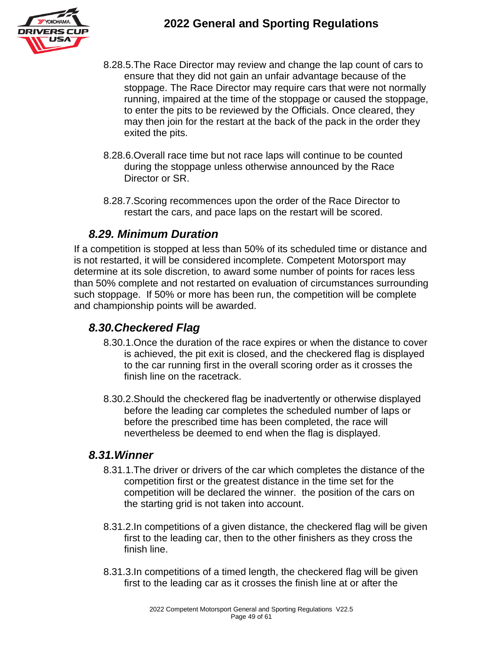

- 8.28.5.The Race Director may review and change the lap count of cars to ensure that they did not gain an unfair advantage because of the stoppage. The Race Director may require cars that were not normally running, impaired at the time of the stoppage or caused the stoppage, to enter the pits to be reviewed by the Officials. Once cleared, they may then join for the restart at the back of the pack in the order they exited the pits.
- 8.28.6.Overall race time but not race laps will continue to be counted during the stoppage unless otherwise announced by the Race Director or SR.
- 8.28.7.Scoring recommences upon the order of the Race Director to restart the cars, and pace laps on the restart will be scored.

#### *8.29. Minimum Duration*

If a competition is stopped at less than 50% of its scheduled time or distance and is not restarted, it will be considered incomplete. Competent Motorsport may determine at its sole discretion, to award some number of points for races less than 50% complete and not restarted on evaluation of circumstances surrounding such stoppage. If 50% or more has been run, the competition will be complete and championship points will be awarded.

#### *8.30.Checkered Flag*

- 8.30.1.Once the duration of the race expires or when the distance to cover is achieved, the pit exit is closed, and the checkered flag is displayed to the car running first in the overall scoring order as it crosses the finish line on the racetrack.
- 8.30.2.Should the checkered flag be inadvertently or otherwise displayed before the leading car completes the scheduled number of laps or before the prescribed time has been completed, the race will nevertheless be deemed to end when the flag is displayed.

#### *8.31.Winner*

- 8.31.1.The driver or drivers of the car which completes the distance of the competition first or the greatest distance in the time set for the competition will be declared the winner. the position of the cars on the starting grid is not taken into account.
- 8.31.2.In competitions of a given distance, the checkered flag will be given first to the leading car, then to the other finishers as they cross the finish line.
- 8.31.3.In competitions of a timed length, the checkered flag will be given first to the leading car as it crosses the finish line at or after the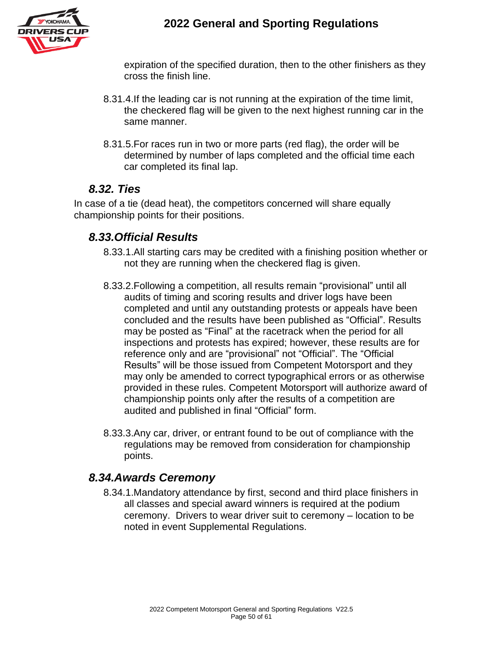

expiration of the specified duration, then to the other finishers as they cross the finish line.

- 8.31.4.If the leading car is not running at the expiration of the time limit, the checkered flag will be given to the next highest running car in the same manner.
- 8.31.5.For races run in two or more parts (red flag), the order will be determined by number of laps completed and the official time each car completed its final lap.

#### *8.32. Ties*

In case of a tie (dead heat), the competitors concerned will share equally championship points for their positions.

#### *8.33.Official Results*

- 8.33.1.All starting cars may be credited with a finishing position whether or not they are running when the checkered flag is given.
- 8.33.2.Following a competition, all results remain "provisional" until all audits of timing and scoring results and driver logs have been completed and until any outstanding protests or appeals have been concluded and the results have been published as "Official". Results may be posted as "Final" at the racetrack when the period for all inspections and protests has expired; however, these results are for reference only and are "provisional" not "Official". The "Official Results" will be those issued from Competent Motorsport and they may only be amended to correct typographical errors or as otherwise provided in these rules. Competent Motorsport will authorize award of championship points only after the results of a competition are audited and published in final "Official" form.
- 8.33.3.Any car, driver, or entrant found to be out of compliance with the regulations may be removed from consideration for championship points.

#### *8.34.Awards Ceremony*

8.34.1.Mandatory attendance by first, second and third place finishers in all classes and special award winners is required at the podium ceremony. Drivers to wear driver suit to ceremony – location to be noted in event Supplemental Regulations.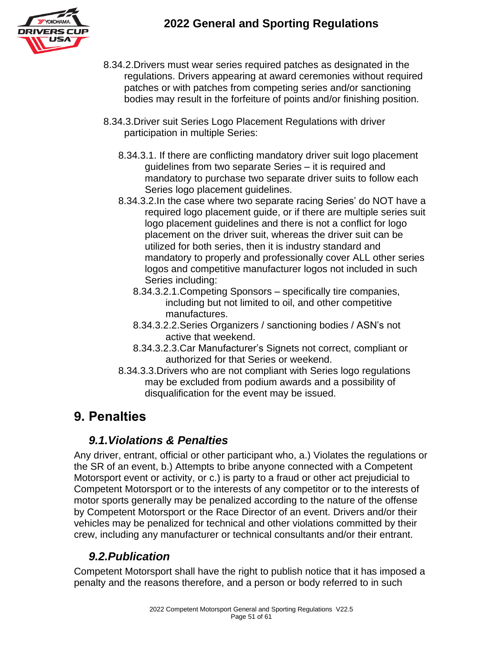

- 8.34.2.Drivers must wear series required patches as designated in the regulations. Drivers appearing at award ceremonies without required patches or with patches from competing series and/or sanctioning bodies may result in the forfeiture of points and/or finishing position.
- 8.34.3.Driver suit Series Logo Placement Regulations with driver participation in multiple Series:
	- 8.34.3.1. If there are conflicting mandatory driver suit logo placement guidelines from two separate Series – it is required and mandatory to purchase two separate driver suits to follow each Series logo placement guidelines.
	- 8.34.3.2.In the case where two separate racing Series' do NOT have a required logo placement guide, or if there are multiple series suit logo placement guidelines and there is not a conflict for logo placement on the driver suit, whereas the driver suit can be utilized for both series, then it is industry standard and mandatory to properly and professionally cover ALL other series logos and competitive manufacturer logos not included in such Series including:
		- 8.34.3.2.1.Competing Sponsors specifically tire companies, including but not limited to oil, and other competitive manufactures.
		- 8.34.3.2.2.Series Organizers / sanctioning bodies / ASN's not active that weekend.
		- 8.34.3.2.3.Car Manufacturer's Signets not correct, compliant or authorized for that Series or weekend.
	- 8.34.3.3.Drivers who are not compliant with Series logo regulations may be excluded from podium awards and a possibility of disqualification for the event may be issued.

# **9. Penalties**

#### *9.1.Violations & Penalties*

Any driver, entrant, official or other participant who, a.) Violates the regulations or the SR of an event, b.) Attempts to bribe anyone connected with a Competent Motorsport event or activity, or c.) is party to a fraud or other act prejudicial to Competent Motorsport or to the interests of any competitor or to the interests of motor sports generally may be penalized according to the nature of the offense by Competent Motorsport or the Race Director of an event. Drivers and/or their vehicles may be penalized for technical and other violations committed by their crew, including any manufacturer or technical consultants and/or their entrant.

### *9.2.Publication*

Competent Motorsport shall have the right to publish notice that it has imposed a penalty and the reasons therefore, and a person or body referred to in such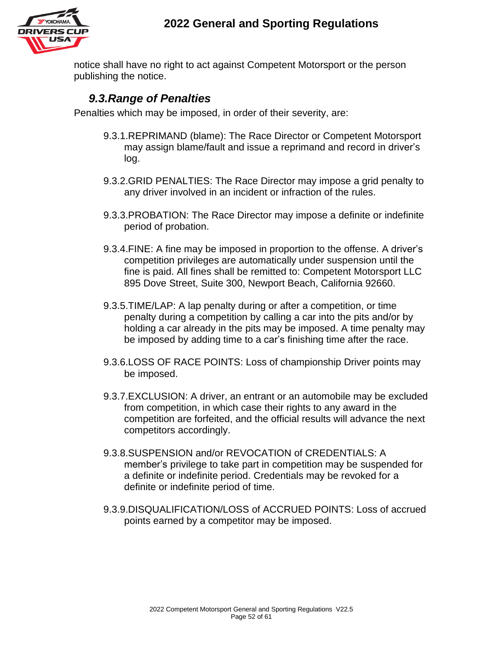

notice shall have no right to act against Competent Motorsport or the person publishing the notice.

#### *9.3.Range of Penalties*

Penalties which may be imposed, in order of their severity, are:

- 9.3.1.REPRIMAND (blame): The Race Director or Competent Motorsport may assign blame/fault and issue a reprimand and record in driver's log.
- 9.3.2.GRID PENALTIES: The Race Director may impose a grid penalty to any driver involved in an incident or infraction of the rules.
- 9.3.3.PROBATION: The Race Director may impose a definite or indefinite period of probation.
- 9.3.4.FINE: A fine may be imposed in proportion to the offense. A driver's competition privileges are automatically under suspension until the fine is paid. All fines shall be remitted to: Competent Motorsport LLC 895 Dove Street, Suite 300, Newport Beach, California 92660.
- 9.3.5.TIME/LAP: A lap penalty during or after a competition, or time penalty during a competition by calling a car into the pits and/or by holding a car already in the pits may be imposed. A time penalty may be imposed by adding time to a car's finishing time after the race.
- 9.3.6.LOSS OF RACE POINTS: Loss of championship Driver points may be imposed.
- 9.3.7.EXCLUSION: A driver, an entrant or an automobile may be excluded from competition, in which case their rights to any award in the competition are forfeited, and the official results will advance the next competitors accordingly.
- 9.3.8.SUSPENSION and/or REVOCATION of CREDENTIALS: A member's privilege to take part in competition may be suspended for a definite or indefinite period. Credentials may be revoked for a definite or indefinite period of time.
- 9.3.9.DISQUALIFICATION/LOSS of ACCRUED POINTS: Loss of accrued points earned by a competitor may be imposed.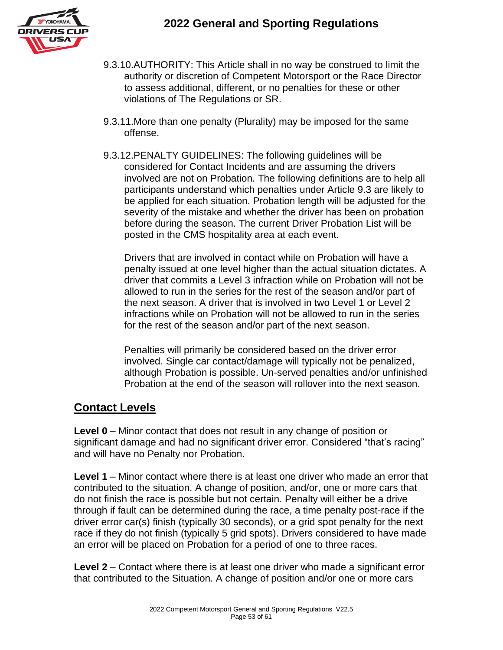

- 9.3.10.AUTHORITY: This Article shall in no way be construed to limit the authority or discretion of Competent Motorsport or the Race Director to assess additional, different, or no penalties for these or other violations of The Regulations or SR.
- 9.3.11.More than one penalty (Plurality) may be imposed for the same offense.
- 9.3.12.PENALTY GUIDELINES: The following guidelines will be considered for Contact Incidents and are assuming the drivers involved are not on Probation. The following definitions are to help all participants understand which penalties under Article 9.3 are likely to be applied for each situation. Probation length will be adjusted for the severity of the mistake and whether the driver has been on probation before during the season. The current Driver Probation List will be posted in the CMS hospitality area at each event.

Drivers that are involved in contact while on Probation will have a penalty issued at one level higher than the actual situation dictates. A driver that commits a Level 3 infraction while on Probation will not be allowed to run in the series for the rest of the season and/or part of the next season. A driver that is involved in two Level 1 or Level 2 infractions while on Probation will not be allowed to run in the series for the rest of the season and/or part of the next season.

Penalties will primarily be considered based on the driver error involved. Single car contact/damage will typically not be penalized, although Probation is possible. Un-served penalties and/or unfinished Probation at the end of the season will rollover into the next season.

#### **Contact Levels**

**Level 0** – Minor contact that does not result in any change of position or significant damage and had no significant driver error. Considered "that's racing" and will have no Penalty nor Probation.

**Level 1** – Minor contact where there is at least one driver who made an error that contributed to the situation. A change of position, and/or, one or more cars that do not finish the race is possible but not certain. Penalty will either be a drive through if fault can be determined during the race, a time penalty post-race if the driver error car(s) finish (typically 30 seconds), or a grid spot penalty for the next race if they do not finish (typically 5 grid spots). Drivers considered to have made an error will be placed on Probation for a period of one to three races.

**Level 2** – Contact where there is at least one driver who made a significant error that contributed to the Situation. A change of position and/or one or more cars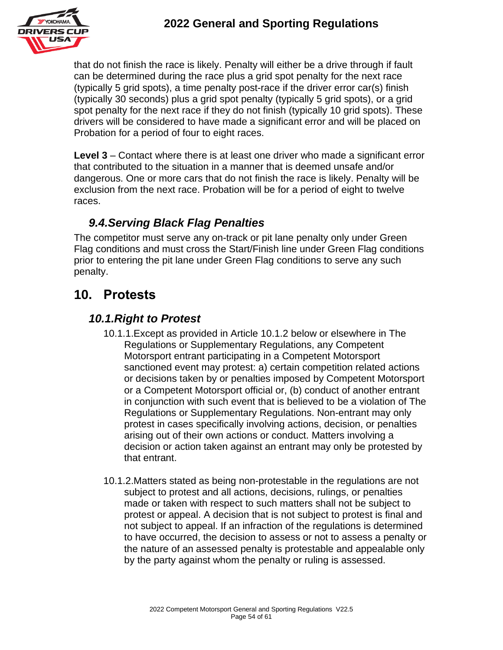

that do not finish the race is likely. Penalty will either be a drive through if fault can be determined during the race plus a grid spot penalty for the next race (typically 5 grid spots), a time penalty post-race if the driver error car(s) finish (typically 30 seconds) plus a grid spot penalty (typically 5 grid spots), or a grid spot penalty for the next race if they do not finish (typically 10 grid spots). These drivers will be considered to have made a significant error and will be placed on Probation for a period of four to eight races.

**Level 3** – Contact where there is at least one driver who made a significant error that contributed to the situation in a manner that is deemed unsafe and/or dangerous. One or more cars that do not finish the race is likely. Penalty will be exclusion from the next race. Probation will be for a period of eight to twelve races.

### *9.4.Serving Black Flag Penalties*

The competitor must serve any on-track or pit lane penalty only under Green Flag conditions and must cross the Start/Finish line under Green Flag conditions prior to entering the pit lane under Green Flag conditions to serve any such penalty.

# **10. Protests**

### *10.1.Right to Protest*

- 10.1.1.Except as provided in Article 10.1.2 below or elsewhere in The Regulations or Supplementary Regulations, any Competent Motorsport entrant participating in a Competent Motorsport sanctioned event may protest: a) certain competition related actions or decisions taken by or penalties imposed by Competent Motorsport or a Competent Motorsport official or, (b) conduct of another entrant in conjunction with such event that is believed to be a violation of The Regulations or Supplementary Regulations. Non-entrant may only protest in cases specifically involving actions, decision, or penalties arising out of their own actions or conduct. Matters involving a decision or action taken against an entrant may only be protested by that entrant.
- 10.1.2.Matters stated as being non-protestable in the regulations are not subject to protest and all actions, decisions, rulings, or penalties made or taken with respect to such matters shall not be subject to protest or appeal. A decision that is not subject to protest is final and not subject to appeal. If an infraction of the regulations is determined to have occurred, the decision to assess or not to assess a penalty or the nature of an assessed penalty is protestable and appealable only by the party against whom the penalty or ruling is assessed.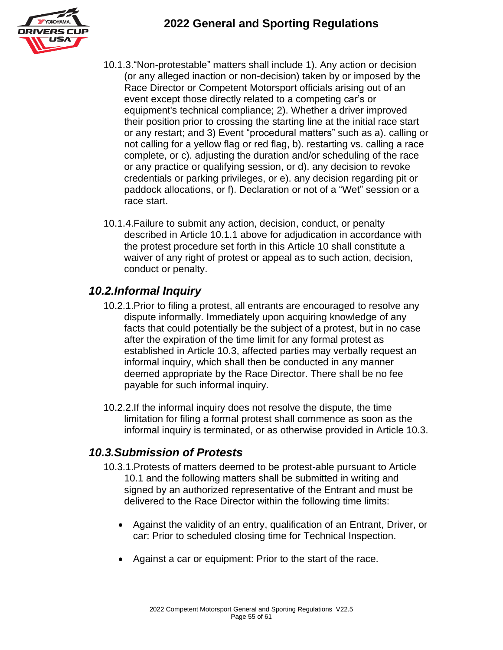

- 10.1.3."Non-protestable" matters shall include 1). Any action or decision (or any alleged inaction or non-decision) taken by or imposed by the Race Director or Competent Motorsport officials arising out of an event except those directly related to a competing car's or equipment's technical compliance; 2). Whether a driver improved their position prior to crossing the starting line at the initial race start or any restart; and 3) Event "procedural matters" such as a). calling or not calling for a yellow flag or red flag, b). restarting vs. calling a race complete, or c). adjusting the duration and/or scheduling of the race or any practice or qualifying session, or d). any decision to revoke credentials or parking privileges, or e). any decision regarding pit or paddock allocations, or f). Declaration or not of a "Wet" session or a race start.
- 10.1.4.Failure to submit any action, decision, conduct, or penalty described in Article 10.1.1 above for adjudication in accordance with the protest procedure set forth in this Article 10 shall constitute a waiver of any right of protest or appeal as to such action, decision, conduct or penalty.

#### *10.2.Informal Inquiry*

- 10.2.1.Prior to filing a protest, all entrants are encouraged to resolve any dispute informally. Immediately upon acquiring knowledge of any facts that could potentially be the subject of a protest, but in no case after the expiration of the time limit for any formal protest as established in Article 10.3, affected parties may verbally request an informal inquiry, which shall then be conducted in any manner deemed appropriate by the Race Director. There shall be no fee payable for such informal inquiry.
- 10.2.2.If the informal inquiry does not resolve the dispute, the time limitation for filing a formal protest shall commence as soon as the informal inquiry is terminated, or as otherwise provided in Article 10.3.

#### *10.3.Submission of Protests*

- 10.3.1.Protests of matters deemed to be protest-able pursuant to Article 10.1 and the following matters shall be submitted in writing and signed by an authorized representative of the Entrant and must be delivered to the Race Director within the following time limits:
	- Against the validity of an entry, qualification of an Entrant, Driver, or car: Prior to scheduled closing time for Technical Inspection.
	- Against a car or equipment: Prior to the start of the race.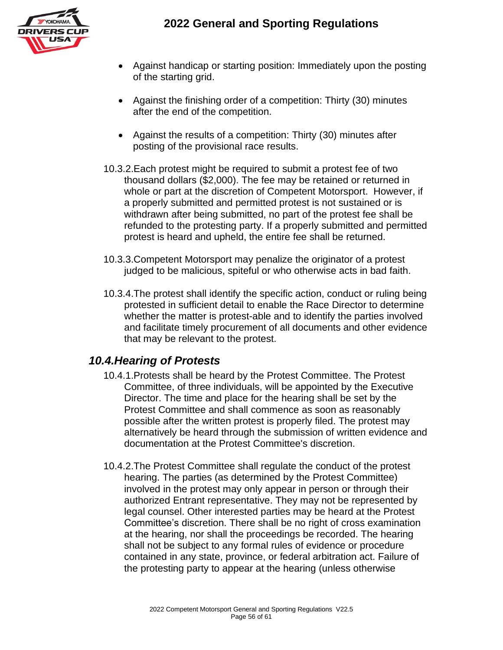

- Against handicap or starting position: Immediately upon the posting of the starting grid.
- Against the finishing order of a competition: Thirty (30) minutes after the end of the competition.
- Against the results of a competition: Thirty (30) minutes after posting of the provisional race results.
- 10.3.2.Each protest might be required to submit a protest fee of two thousand dollars (\$2,000). The fee may be retained or returned in whole or part at the discretion of Competent Motorsport. However, if a properly submitted and permitted protest is not sustained or is withdrawn after being submitted, no part of the protest fee shall be refunded to the protesting party. If a properly submitted and permitted protest is heard and upheld, the entire fee shall be returned.
- 10.3.3.Competent Motorsport may penalize the originator of a protest judged to be malicious, spiteful or who otherwise acts in bad faith.
- 10.3.4.The protest shall identify the specific action, conduct or ruling being protested in sufficient detail to enable the Race Director to determine whether the matter is protest-able and to identify the parties involved and facilitate timely procurement of all documents and other evidence that may be relevant to the protest.

#### *10.4.Hearing of Protests*

- 10.4.1.Protests shall be heard by the Protest Committee. The Protest Committee, of three individuals, will be appointed by the Executive Director. The time and place for the hearing shall be set by the Protest Committee and shall commence as soon as reasonably possible after the written protest is properly filed. The protest may alternatively be heard through the submission of written evidence and documentation at the Protest Committee's discretion.
- 10.4.2.The Protest Committee shall regulate the conduct of the protest hearing. The parties (as determined by the Protest Committee) involved in the protest may only appear in person or through their authorized Entrant representative. They may not be represented by legal counsel. Other interested parties may be heard at the Protest Committee's discretion. There shall be no right of cross examination at the hearing, nor shall the proceedings be recorded. The hearing shall not be subject to any formal rules of evidence or procedure contained in any state, province, or federal arbitration act. Failure of the protesting party to appear at the hearing (unless otherwise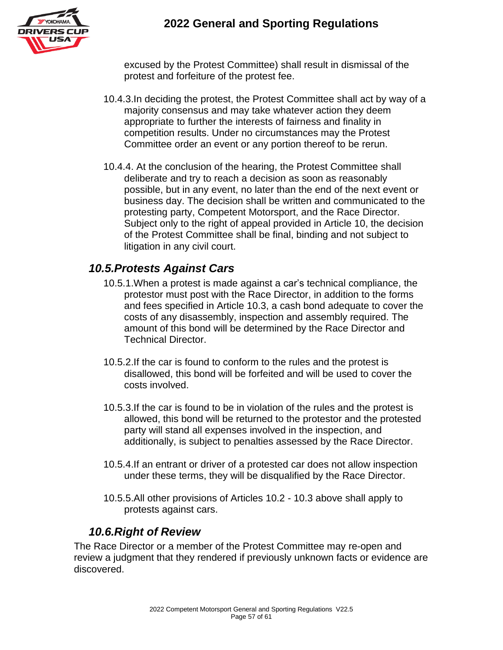

excused by the Protest Committee) shall result in dismissal of the protest and forfeiture of the protest fee.

- 10.4.3.In deciding the protest, the Protest Committee shall act by way of a majority consensus and may take whatever action they deem appropriate to further the interests of fairness and finality in competition results. Under no circumstances may the Protest Committee order an event or any portion thereof to be rerun.
- 10.4.4. At the conclusion of the hearing, the Protest Committee shall deliberate and try to reach a decision as soon as reasonably possible, but in any event, no later than the end of the next event or business day. The decision shall be written and communicated to the protesting party, Competent Motorsport, and the Race Director. Subject only to the right of appeal provided in Article 10, the decision of the Protest Committee shall be final, binding and not subject to litigation in any civil court.

#### *10.5.Protests Against Cars*

- 10.5.1.When a protest is made against a car's technical compliance, the protestor must post with the Race Director, in addition to the forms and fees specified in Article 10.3, a cash bond adequate to cover the costs of any disassembly, inspection and assembly required. The amount of this bond will be determined by the Race Director and Technical Director.
- 10.5.2.If the car is found to conform to the rules and the protest is disallowed, this bond will be forfeited and will be used to cover the costs involved.
- 10.5.3.If the car is found to be in violation of the rules and the protest is allowed, this bond will be returned to the protestor and the protested party will stand all expenses involved in the inspection, and additionally, is subject to penalties assessed by the Race Director.
- 10.5.4.If an entrant or driver of a protested car does not allow inspection under these terms, they will be disqualified by the Race Director.
- 10.5.5.All other provisions of Articles 10.2 10.3 above shall apply to protests against cars.

#### *10.6.Right of Review*

The Race Director or a member of the Protest Committee may re-open and review a judgment that they rendered if previously unknown facts or evidence are discovered.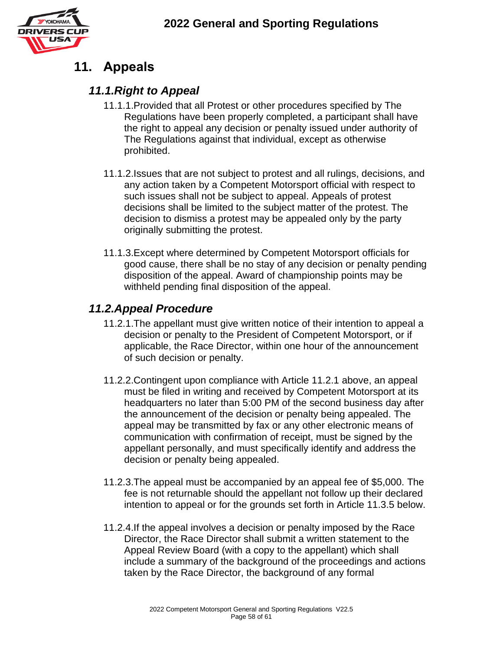

# **11. Appeals**

#### *11.1.Right to Appeal*

- 11.1.1.Provided that all Protest or other procedures specified by The Regulations have been properly completed, a participant shall have the right to appeal any decision or penalty issued under authority of The Regulations against that individual, except as otherwise prohibited.
- 11.1.2.Issues that are not subject to protest and all rulings, decisions, and any action taken by a Competent Motorsport official with respect to such issues shall not be subject to appeal. Appeals of protest decisions shall be limited to the subject matter of the protest. The decision to dismiss a protest may be appealed only by the party originally submitting the protest.
- 11.1.3.Except where determined by Competent Motorsport officials for good cause, there shall be no stay of any decision or penalty pending disposition of the appeal. Award of championship points may be withheld pending final disposition of the appeal.

#### *11.2.Appeal Procedure*

- 11.2.1.The appellant must give written notice of their intention to appeal a decision or penalty to the President of Competent Motorsport, or if applicable, the Race Director, within one hour of the announcement of such decision or penalty.
- 11.2.2.Contingent upon compliance with Article 11.2.1 above, an appeal must be filed in writing and received by Competent Motorsport at its headquarters no later than 5:00 PM of the second business day after the announcement of the decision or penalty being appealed. The appeal may be transmitted by fax or any other electronic means of communication with confirmation of receipt, must be signed by the appellant personally, and must specifically identify and address the decision or penalty being appealed.
- 11.2.3.The appeal must be accompanied by an appeal fee of \$5,000. The fee is not returnable should the appellant not follow up their declared intention to appeal or for the grounds set forth in Article 11.3.5 below.
- 11.2.4.If the appeal involves a decision or penalty imposed by the Race Director, the Race Director shall submit a written statement to the Appeal Review Board (with a copy to the appellant) which shall include a summary of the background of the proceedings and actions taken by the Race Director, the background of any formal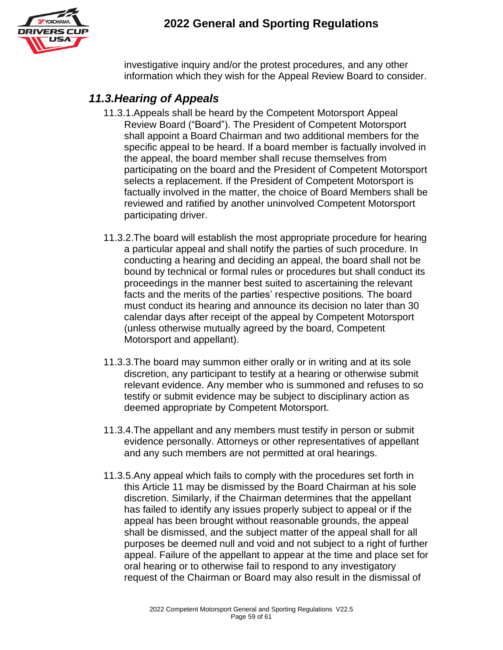

investigative inquiry and/or the protest procedures, and any other information which they wish for the Appeal Review Board to consider.

### *11.3.Hearing of Appeals*

- 11.3.1.Appeals shall be heard by the Competent Motorsport Appeal Review Board ("Board"). The President of Competent Motorsport shall appoint a Board Chairman and two additional members for the specific appeal to be heard. If a board member is factually involved in the appeal, the board member shall recuse themselves from participating on the board and the President of Competent Motorsport selects a replacement. If the President of Competent Motorsport is factually involved in the matter, the choice of Board Members shall be reviewed and ratified by another uninvolved Competent Motorsport participating driver.
- 11.3.2.The board will establish the most appropriate procedure for hearing a particular appeal and shall notify the parties of such procedure. In conducting a hearing and deciding an appeal, the board shall not be bound by technical or formal rules or procedures but shall conduct its proceedings in the manner best suited to ascertaining the relevant facts and the merits of the parties' respective positions. The board must conduct its hearing and announce its decision no later than 30 calendar days after receipt of the appeal by Competent Motorsport (unless otherwise mutually agreed by the board, Competent Motorsport and appellant).
- 11.3.3.The board may summon either orally or in writing and at its sole discretion, any participant to testify at a hearing or otherwise submit relevant evidence. Any member who is summoned and refuses to so testify or submit evidence may be subject to disciplinary action as deemed appropriate by Competent Motorsport.
- 11.3.4.The appellant and any members must testify in person or submit evidence personally. Attorneys or other representatives of appellant and any such members are not permitted at oral hearings.
- 11.3.5.Any appeal which fails to comply with the procedures set forth in this Article 11 may be dismissed by the Board Chairman at his sole discretion. Similarly, if the Chairman determines that the appellant has failed to identify any issues properly subject to appeal or if the appeal has been brought without reasonable grounds, the appeal shall be dismissed, and the subject matter of the appeal shall for all purposes be deemed null and void and not subject to a right of further appeal. Failure of the appellant to appear at the time and place set for oral hearing or to otherwise fail to respond to any investigatory request of the Chairman or Board may also result in the dismissal of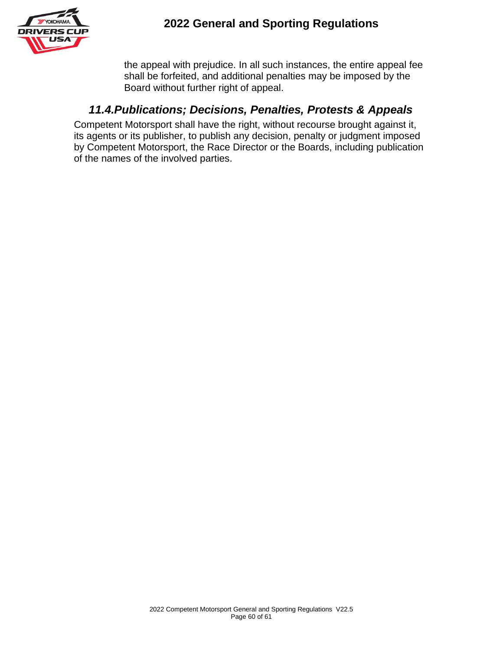

the appeal with prejudice. In all such instances, the entire appeal fee shall be forfeited, and additional penalties may be imposed by the Board without further right of appeal.

### *11.4.Publications; Decisions, Penalties, Protests & Appeals*

Competent Motorsport shall have the right, without recourse brought against it, its agents or its publisher, to publish any decision, penalty or judgment imposed by Competent Motorsport, the Race Director or the Boards, including publication of the names of the involved parties.